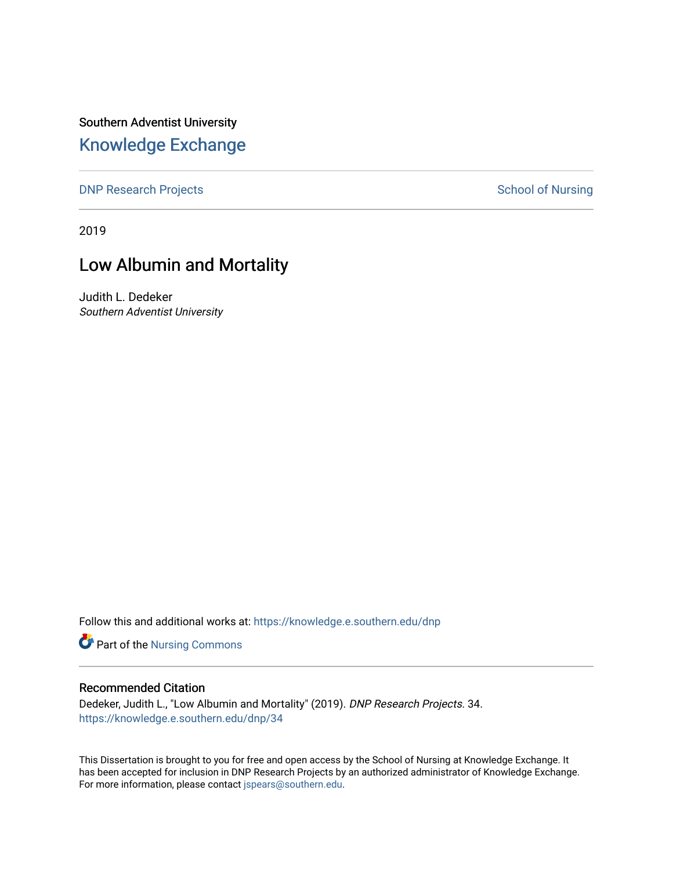Southern Adventist University [Knowledge Exchange](https://knowledge.e.southern.edu/) 

[DNP Research Projects](https://knowledge.e.southern.edu/dnp) **School of Nursing** School of Nursing

2019

# Low Albumin and Mortality

Judith L. Dedeker Southern Adventist University

Follow this and additional works at: [https://knowledge.e.southern.edu/dnp](https://knowledge.e.southern.edu/dnp?utm_source=knowledge.e.southern.edu%2Fdnp%2F34&utm_medium=PDF&utm_campaign=PDFCoverPages)

Part of the [Nursing Commons](http://network.bepress.com/hgg/discipline/718?utm_source=knowledge.e.southern.edu%2Fdnp%2F34&utm_medium=PDF&utm_campaign=PDFCoverPages) 

## Recommended Citation

Dedeker, Judith L., "Low Albumin and Mortality" (2019). DNP Research Projects. 34. [https://knowledge.e.southern.edu/dnp/34](https://knowledge.e.southern.edu/dnp/34?utm_source=knowledge.e.southern.edu%2Fdnp%2F34&utm_medium=PDF&utm_campaign=PDFCoverPages) 

This Dissertation is brought to you for free and open access by the School of Nursing at Knowledge Exchange. It has been accepted for inclusion in DNP Research Projects by an authorized administrator of Knowledge Exchange. For more information, please contact [jspears@southern.edu.](mailto:jspears@southern.edu)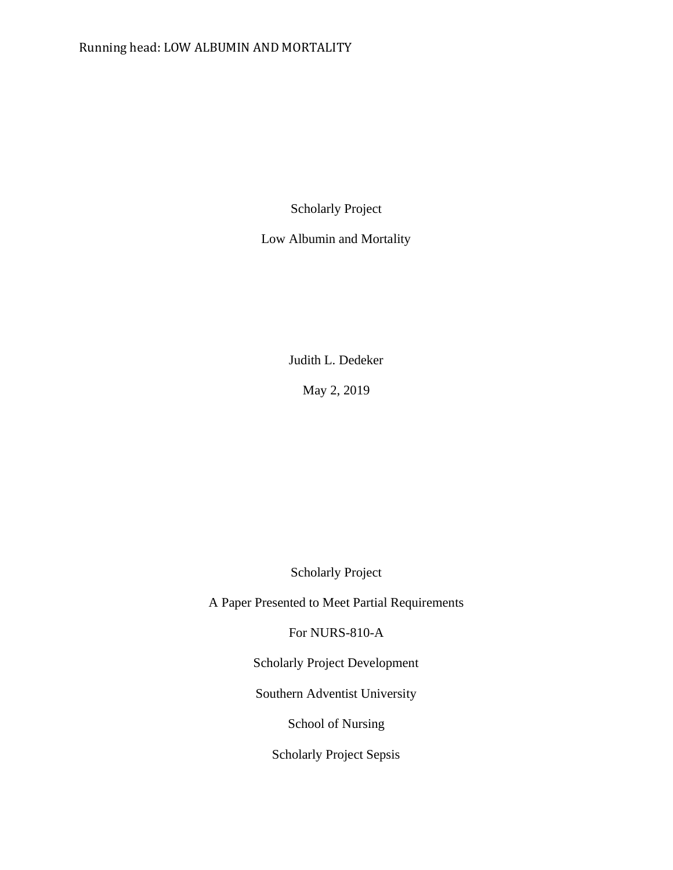# Running head: LOW ALBUMIN AND MORTALITY

Scholarly Project

Low Albumin and Mortality

Judith L. Dedeker

May 2, 2019

Scholarly Project

A Paper Presented to Meet Partial Requirements

For NURS-810-A

Scholarly Project Development

Southern Adventist University

School of Nursing

Scholarly Project Sepsis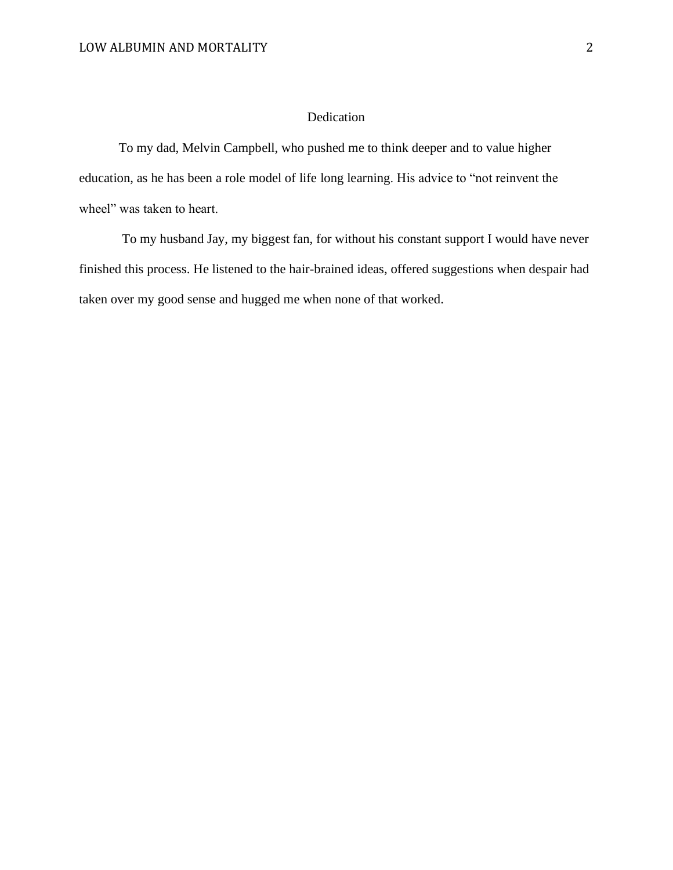## Dedication

To my dad, Melvin Campbell, who pushed me to think deeper and to value higher education, as he has been a role model of life long learning. His advice to "not reinvent the wheel" was taken to heart.

To my husband Jay, my biggest fan, for without his constant support I would have never finished this process. He listened to the hair-brained ideas, offered suggestions when despair had taken over my good sense and hugged me when none of that worked.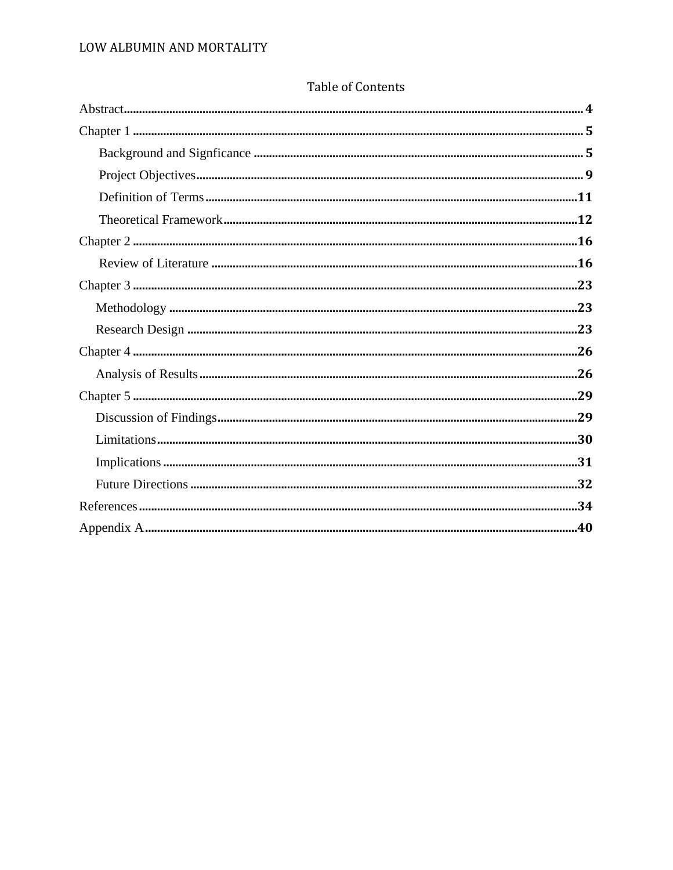# Table of Contents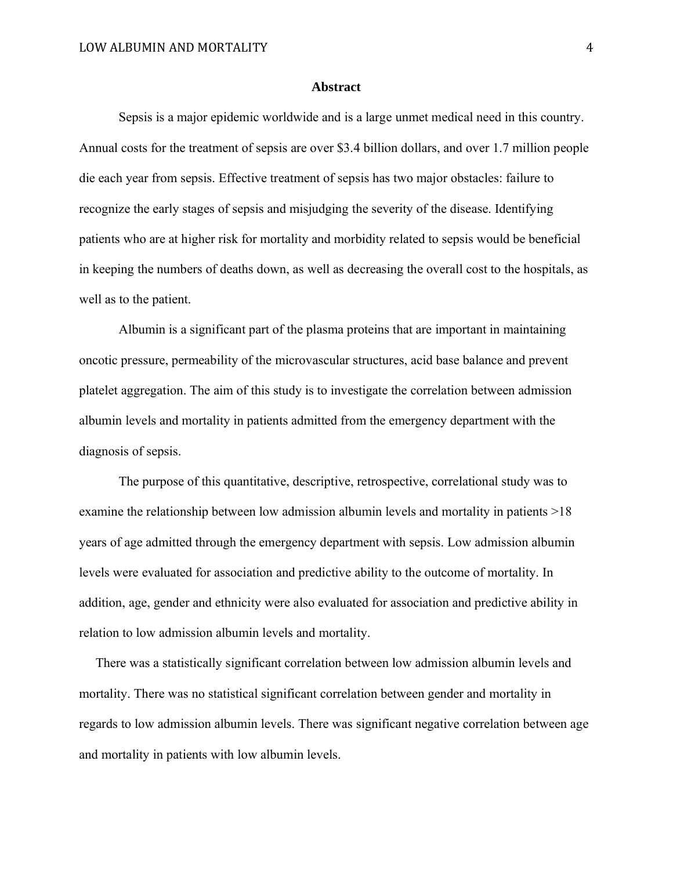#### **Abstract**

 Sepsis is a major epidemic worldwide and is a large unmet medical need in this country. Annual costs for the treatment of sepsis are over \$3.4 billion dollars, and over 1.7 million people die each year from sepsis. Effective treatment of sepsis has two major obstacles: failure to recognize the early stages of sepsis and misjudging the severity of the disease. Identifying patients who are at higher risk for mortality and morbidity related to sepsis would be beneficial in keeping the numbers of deaths down, as well as decreasing the overall cost to the hospitals, as well as to the patient.

Albumin is a significant part of the plasma proteins that are important in maintaining oncotic pressure, permeability of the microvascular structures, acid base balance and prevent platelet aggregation. The aim of this study is to investigate the correlation between admission albumin levels and mortality in patients admitted from the emergency department with the diagnosis of sepsis.

 The purpose of this quantitative, descriptive, retrospective, correlational study was to examine the relationship between low admission albumin levels and mortality in patients >18 years of age admitted through the emergency department with sepsis. Low admission albumin levels were evaluated for association and predictive ability to the outcome of mortality. In addition, age, gender and ethnicity were also evaluated for association and predictive ability in relation to low admission albumin levels and mortality.

 There was a statistically significant correlation between low admission albumin levels and mortality. There was no statistical significant correlation between gender and mortality in regards to low admission albumin levels. There was significant negative correlation between age and mortality in patients with low albumin levels.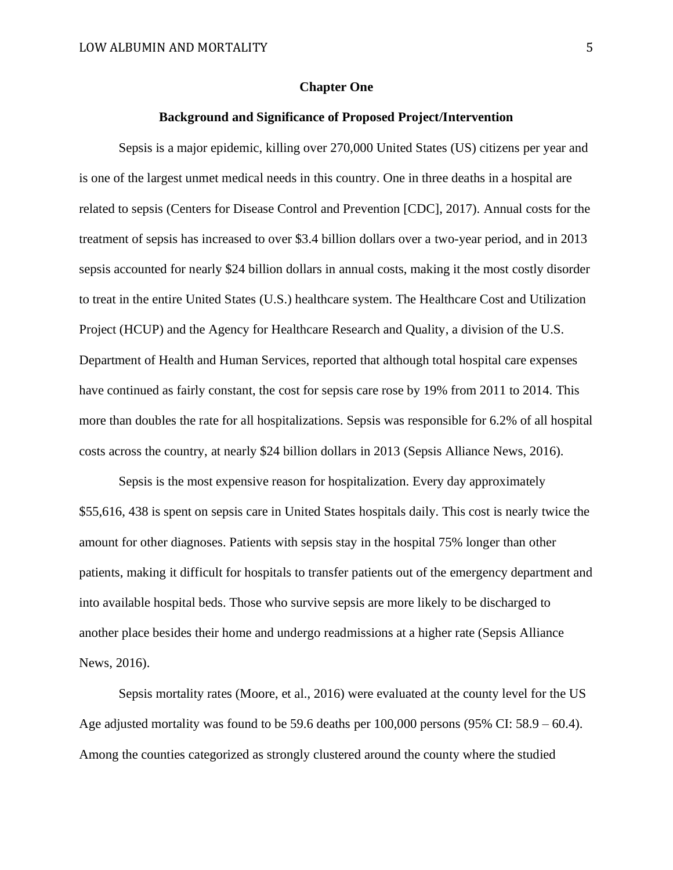#### **Chapter One**

## **Background and Significance of Proposed Project/Intervention**

Sepsis is a major epidemic, killing over 270,000 United States (US) citizens per year and is one of the largest unmet medical needs in this country. One in three deaths in a hospital are related to sepsis (Centers for Disease Control and Prevention [CDC], 2017). Annual costs for the treatment of sepsis has increased to over \$3.4 billion dollars over a two-year period, and in 2013 sepsis accounted for nearly \$24 billion dollars in annual costs, making it the most costly disorder to treat in the entire United States (U.S.) healthcare system. The Healthcare Cost and Utilization Project (HCUP) and the Agency for Healthcare Research and Quality, a division of the U.S. Department of Health and Human Services, reported that although total hospital care expenses have continued as fairly constant, the cost for sepsis care rose by 19% from 2011 to 2014. This more than doubles the rate for all hospitalizations. Sepsis was responsible for 6.2% of all hospital costs across the country, at nearly \$24 billion dollars in 2013 (Sepsis Alliance News, 2016).

Sepsis is the most expensive reason for hospitalization. Every day approximately \$55,616, 438 is spent on sepsis care in United States hospitals daily. This cost is nearly twice the amount for other diagnoses. Patients with sepsis stay in the hospital 75% longer than other patients, making it difficult for hospitals to transfer patients out of the emergency department and into available hospital beds. Those who survive sepsis are more likely to be discharged to another place besides their home and undergo readmissions at a higher rate (Sepsis Alliance News, 2016).

Sepsis mortality rates (Moore, et al., 2016) were evaluated at the county level for the US Age adjusted mortality was found to be 59.6 deaths per 100,000 persons (95% CI: 58.9 – 60.4). Among the counties categorized as strongly clustered around the county where the studied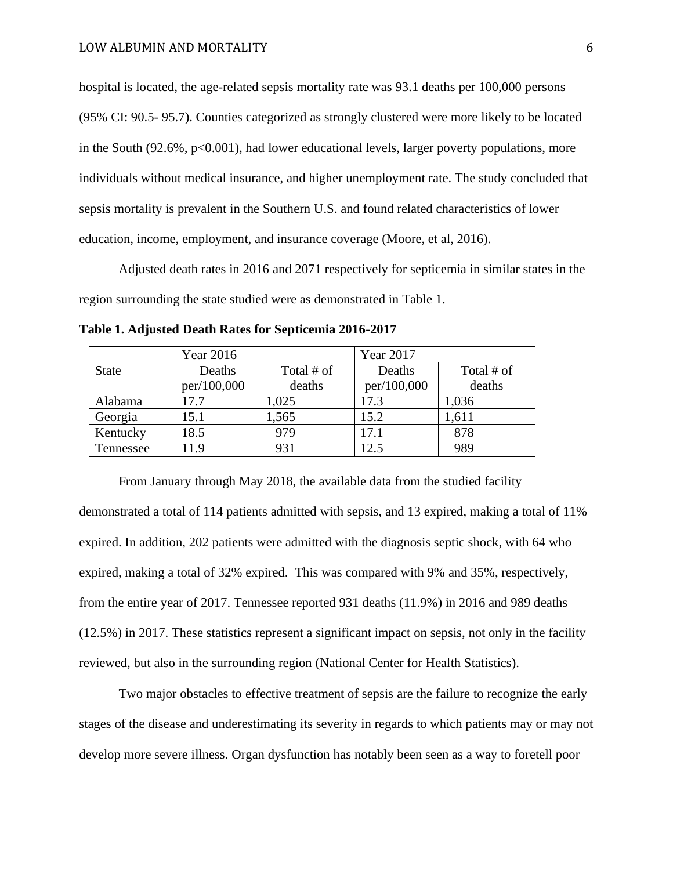hospital is located, the age-related sepsis mortality rate was 93.1 deaths per 100,000 persons (95% CI: 90.5- 95.7). Counties categorized as strongly clustered were more likely to be located in the South  $(92.6\%, p<0.001)$ , had lower educational levels, larger poverty populations, more individuals without medical insurance, and higher unemployment rate. The study concluded that sepsis mortality is prevalent in the Southern U.S. and found related characteristics of lower education, income, employment, and insurance coverage (Moore, et al, 2016).

Adjusted death rates in 2016 and 2071 respectively for septicemia in similar states in the region surrounding the state studied were as demonstrated in Table 1.

|              | Year 2016            |        | Year 2017   |            |  |
|--------------|----------------------|--------|-------------|------------|--|
| <b>State</b> | Total # of<br>Deaths |        | Deaths      | Total # of |  |
|              | per/100,000          | deaths | per/100,000 | deaths     |  |
| Alabama      | 17.7                 | 1,025  | 17.3        | 1,036      |  |
| Georgia      | 15.1                 | 1,565  | 15.2        | 1,611      |  |
| Kentucky     | 18.5                 | 979    | 17.1        | 878        |  |
| Tennessee    | 1.9                  | 931    | 12.5        | 989        |  |

**Table 1. Adjusted Death Rates for Septicemia 2016-2017**

From January through May 2018, the available data from the studied facility demonstrated a total of 114 patients admitted with sepsis, and 13 expired, making a total of 11% expired. In addition, 202 patients were admitted with the diagnosis septic shock, with 64 who expired, making a total of 32% expired. This was compared with 9% and 35%, respectively, from the entire year of 2017. Tennessee reported 931 deaths (11.9%) in 2016 and 989 deaths (12.5%) in 2017. These statistics represent a significant impact on sepsis, not only in the facility reviewed, but also in the surrounding region (National Center for Health Statistics).

Two major obstacles to effective treatment of sepsis are the failure to recognize the early stages of the disease and underestimating its severity in regards to which patients may or may not develop more severe illness. Organ dysfunction has notably been seen as a way to foretell poor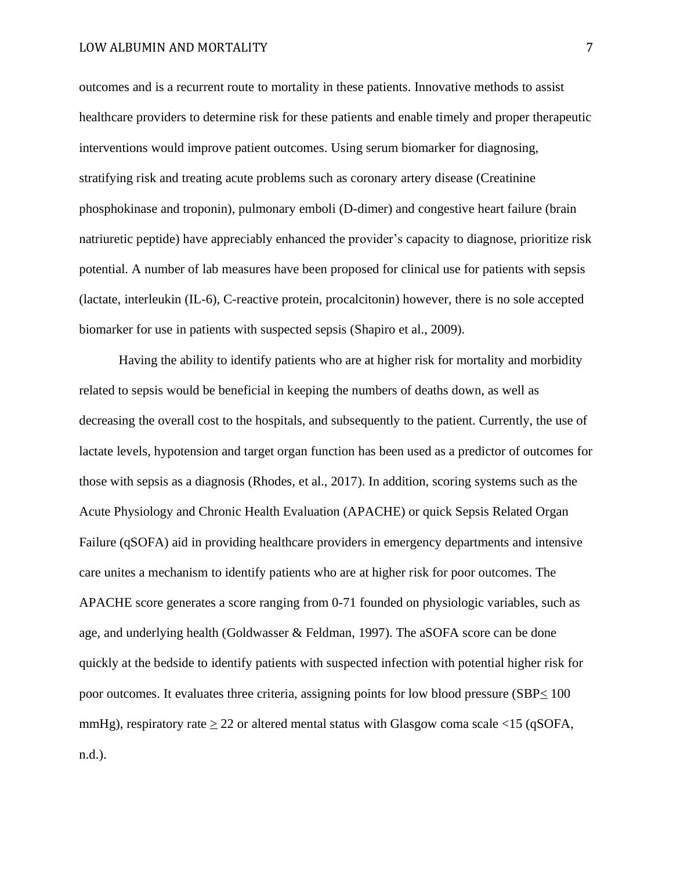outcomes and is a recurrent route to mortality in these patients. Innovative methods to assist healthcare providers to determine risk for these patients and enable timely and proper therapeutic interventions would improve patient outcomes. Using serum biomarker for diagnosing, stratifying risk and treating acute problems such as coronary artery disease (Creatinine phosphokinase and troponin), pulmonary emboli (D-dimer) and congestive heart failure (brain natriuretic peptide) have appreciably enhanced the provider's capacity to diagnose, prioritize risk potential. A number of lab measures have been proposed for clinical use for patients with sepsis (lactate, interleukin (IL-6), C-reactive protein, procalcitonin) however, there is no sole accepted biomarker for use in patients with suspected sepsis (Shapiro et al., 2009).

Having the ability to identify patients who are at higher risk for mortality and morbidity related to sepsis would be beneficial in keeping the numbers of deaths down, as well as decreasing the overall cost to the hospitals, and subsequently to the patient. Currently, the use of lactate levels, hypotension and target organ function has been used as a predictor of outcomes for those with sepsis as a diagnosis (Rhodes, et al., 2017). In addition, scoring systems such as the Acute Physiology and Chronic Health Evaluation (APACHE) or quick Sepsis Related Organ Failure (qSOFA) aid in providing healthcare providers in emergency departments and intensive care unites a mechanism to identify patients who are at higher risk for poor outcomes. The APACHE score generates a score ranging from 0-71 founded on physiologic variables, such as age, and underlying health (Goldwasser & Feldman, 1997). The aSOFA score can be done quickly at the bedside to identify patients with suspected infection with potential higher risk for poor outcomes. It evaluates three criteria, assigning points for low blood pressure (SBP< 100 mmHg), respiratory rate  $\geq 22$  or altered mental status with Glasgow coma scale <15 (qSOFA, n.d.).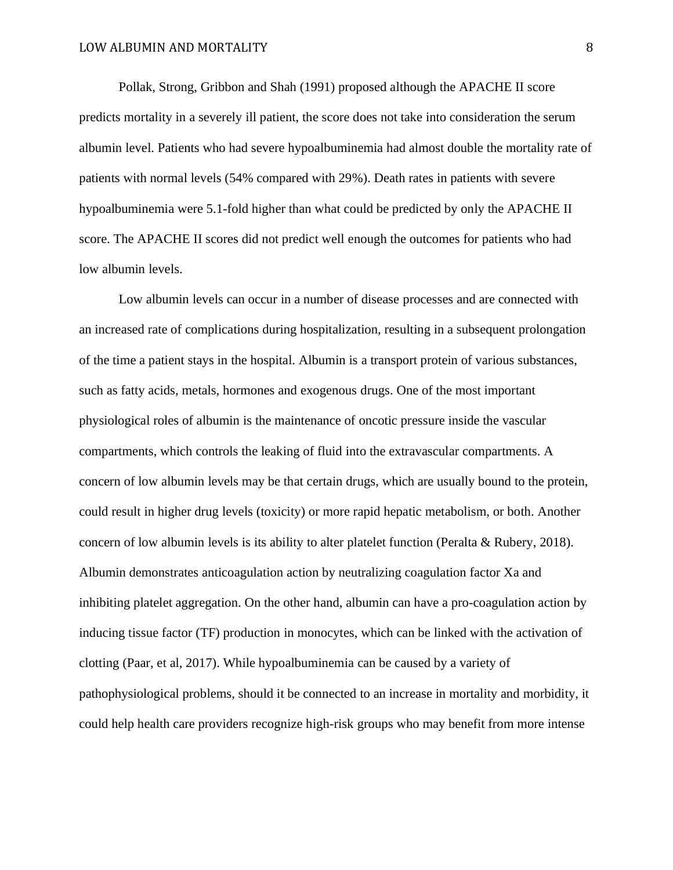Pollak, Strong, Gribbon and Shah (1991) proposed although the APACHE II score predicts mortality in a severely ill patient, the score does not take into consideration the serum albumin level. Patients who had severe hypoalbuminemia had almost double the mortality rate of patients with normal levels (54% compared with 29%). Death rates in patients with severe hypoalbuminemia were 5.1-fold higher than what could be predicted by only the APACHE II score. The APACHE II scores did not predict well enough the outcomes for patients who had low albumin levels.

Low albumin levels can occur in a number of disease processes and are connected with an increased rate of complications during hospitalization, resulting in a subsequent prolongation of the time a patient stays in the hospital. Albumin is a transport protein of various substances, such as fatty acids, metals, hormones and exogenous drugs. One of the most important physiological roles of albumin is the maintenance of oncotic pressure inside the vascular compartments, which controls the leaking of fluid into the extravascular compartments. A concern of low albumin levels may be that certain drugs, which are usually bound to the protein, could result in higher drug levels (toxicity) or more rapid hepatic metabolism, or both. Another concern of low albumin levels is its ability to alter platelet function (Peralta & Rubery, 2018). Albumin demonstrates anticoagulation action by neutralizing coagulation factor Xa and inhibiting platelet aggregation. On the other hand, albumin can have a pro-coagulation action by inducing tissue factor (TF) production in monocytes, which can be linked with the activation of clotting (Paar, et al, 2017). While hypoalbuminemia can be caused by a variety of pathophysiological problems, should it be connected to an increase in mortality and morbidity, it could help health care providers recognize high-risk groups who may benefit from more intense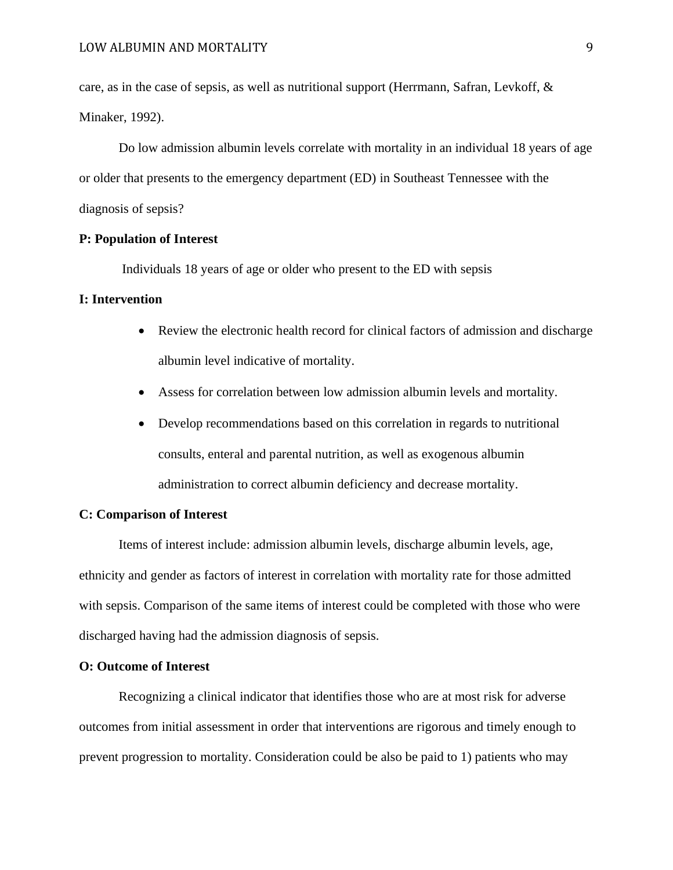care, as in the case of sepsis, as well as nutritional support (Herrmann, Safran, Levkoff, & Minaker, 1992).

Do low admission albumin levels correlate with mortality in an individual 18 years of age or older that presents to the emergency department (ED) in Southeast Tennessee with the diagnosis of sepsis?

## **P: Population of Interest**

Individuals 18 years of age or older who present to the ED with sepsis

### **I: Intervention**

- Review the electronic health record for clinical factors of admission and discharge albumin level indicative of mortality.
- Assess for correlation between low admission albumin levels and mortality.
- Develop recommendations based on this correlation in regards to nutritional consults, enteral and parental nutrition, as well as exogenous albumin administration to correct albumin deficiency and decrease mortality.

## **C: Comparison of Interest**

 Items of interest include: admission albumin levels, discharge albumin levels, age, ethnicity and gender as factors of interest in correlation with mortality rate for those admitted with sepsis. Comparison of the same items of interest could be completed with those who were discharged having had the admission diagnosis of sepsis.

## **O: Outcome of Interest**

 Recognizing a clinical indicator that identifies those who are at most risk for adverse outcomes from initial assessment in order that interventions are rigorous and timely enough to prevent progression to mortality. Consideration could be also be paid to 1) patients who may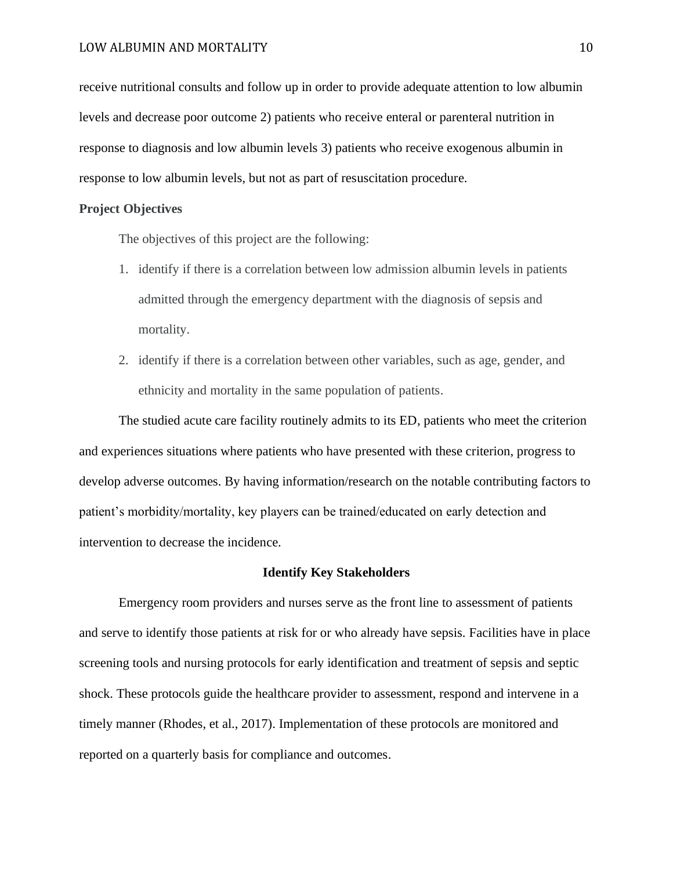receive nutritional consults and follow up in order to provide adequate attention to low albumin levels and decrease poor outcome 2) patients who receive enteral or parenteral nutrition in response to diagnosis and low albumin levels 3) patients who receive exogenous albumin in response to low albumin levels, but not as part of resuscitation procedure.

## **Project Objectives**

The objectives of this project are the following:

- 1. identify if there is a correlation between low admission albumin levels in patients admitted through the emergency department with the diagnosis of sepsis and mortality.
- 2. identify if there is a correlation between other variables, such as age, gender, and ethnicity and mortality in the same population of patients.

The studied acute care facility routinely admits to its ED, patients who meet the criterion and experiences situations where patients who have presented with these criterion, progress to develop adverse outcomes. By having information/research on the notable contributing factors to patient's morbidity/mortality, key players can be trained/educated on early detection and intervention to decrease the incidence.

## **Identify Key Stakeholders**

 Emergency room providers and nurses serve as the front line to assessment of patients and serve to identify those patients at risk for or who already have sepsis. Facilities have in place screening tools and nursing protocols for early identification and treatment of sepsis and septic shock. These protocols guide the healthcare provider to assessment, respond and intervene in a timely manner (Rhodes, et al., 2017). Implementation of these protocols are monitored and reported on a quarterly basis for compliance and outcomes.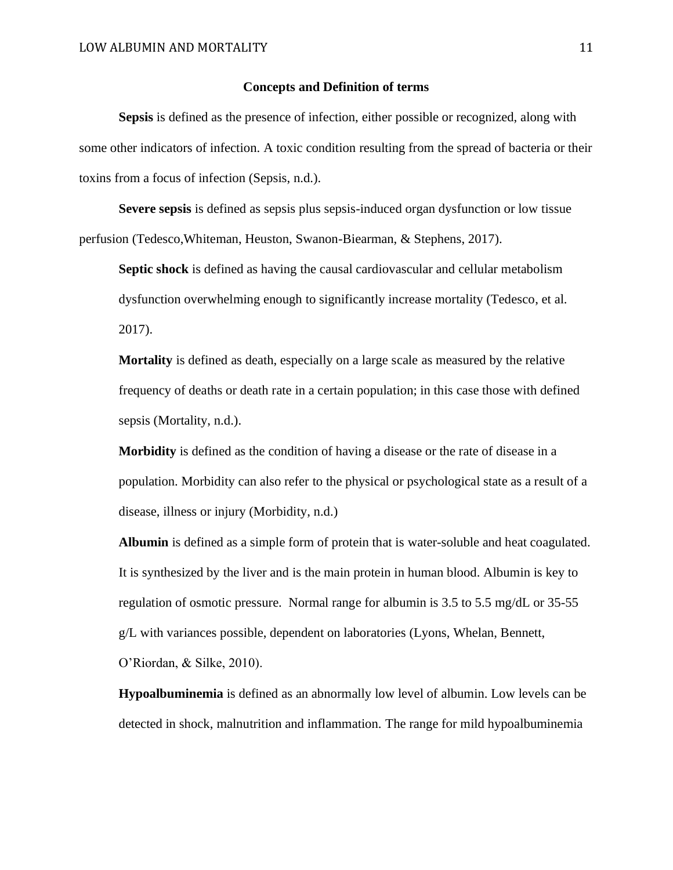## **Concepts and Definition of terms**

**Sepsis** is defined as the presence of infection, either possible or recognized, along with some other indicators of infection. A toxic condition resulting from the spread of bacteria or their toxins from a focus of infection (Sepsis, n.d.).

**Severe sepsis** is defined as sepsis plus sepsis-induced organ dysfunction or low tissue perfusion (Tedesco,Whiteman, Heuston, Swanon-Biearman, & Stephens, 2017).

**Septic shock** is defined as having the causal cardiovascular and cellular metabolism dysfunction overwhelming enough to significantly increase mortality (Tedesco, et al. 2017).

**Mortality** is defined as death, especially on a large scale as measured by the relative frequency of deaths or death rate in a certain population; in this case those with defined sepsis (Mortality, n.d.).

**Morbidity** is defined as the condition of having a disease or the rate of disease in a population. Morbidity can also refer to the physical or psychological state as a result of a disease, illness or injury (Morbidity, n.d.)

**Albumin** is defined as a simple form of protein that is water-soluble and heat coagulated. It is synthesized by the liver and is the main protein in human blood. Albumin is key to regulation of osmotic pressure. Normal range for albumin is 3.5 to 5.5 mg/dL or 35-55 g/L with variances possible, dependent on laboratories (Lyons, Whelan, Bennett, O'Riordan, & Silke, 2010).

**Hypoalbuminemia** is defined as an abnormally low level of albumin. Low levels can be detected in shock, malnutrition and inflammation. The range for mild hypoalbuminemia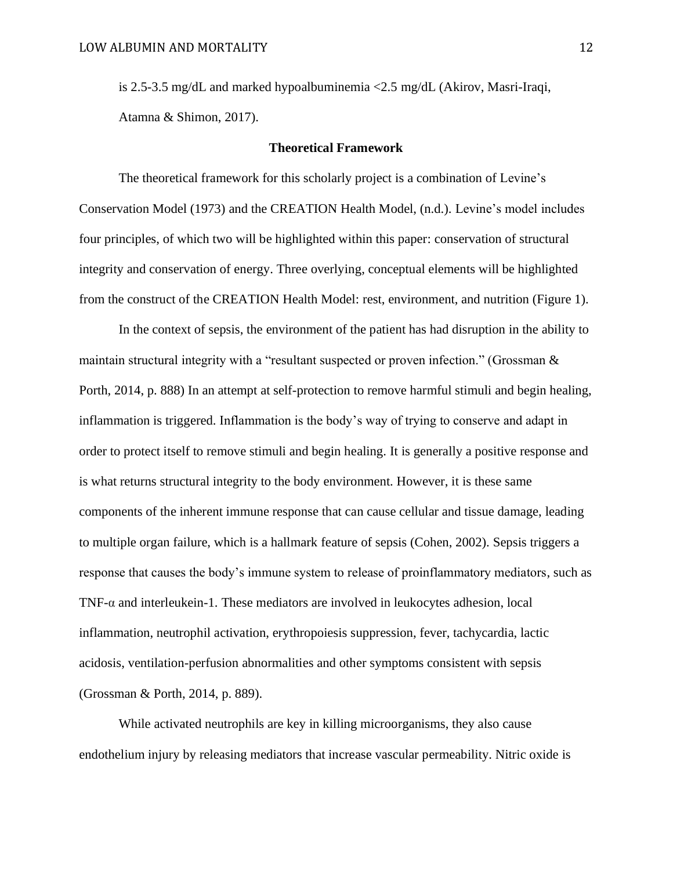is 2.5-3.5 mg/dL and marked hypoalbuminemia <2.5 mg/dL (Akirov, Masri-Iraqi, Atamna & Shimon, 2017).

#### **Theoretical Framework**

The theoretical framework for this scholarly project is a combination of Levine's Conservation Model (1973) and the CREATION Health Model, (n.d.). Levine's model includes four principles, of which two will be highlighted within this paper: conservation of structural integrity and conservation of energy. Three overlying, conceptual elements will be highlighted from the construct of the CREATION Health Model: rest, environment, and nutrition (Figure 1).

 In the context of sepsis, the environment of the patient has had disruption in the ability to maintain structural integrity with a "resultant suspected or proven infection." (Grossman & Porth, 2014, p. 888) In an attempt at self-protection to remove harmful stimuli and begin healing, inflammation is triggered. Inflammation is the body's way of trying to conserve and adapt in order to protect itself to remove stimuli and begin healing. It is generally a positive response and is what returns structural integrity to the body environment. However, it is these same components of the inherent immune response that can cause cellular and tissue damage, leading to multiple organ failure, which is a hallmark feature of sepsis (Cohen, 2002). Sepsis triggers a response that causes the body's immune system to release of proinflammatory mediators, such as TNF- $\alpha$  and interleukein-1. These mediators are involved in leukocytes adhesion, local inflammation, neutrophil activation, erythropoiesis suppression, fever, tachycardia, lactic acidosis, ventilation-perfusion abnormalities and other symptoms consistent with sepsis (Grossman & Porth, 2014, p. 889).

While activated neutrophils are key in killing microorganisms, they also cause endothelium injury by releasing mediators that increase vascular permeability. Nitric oxide is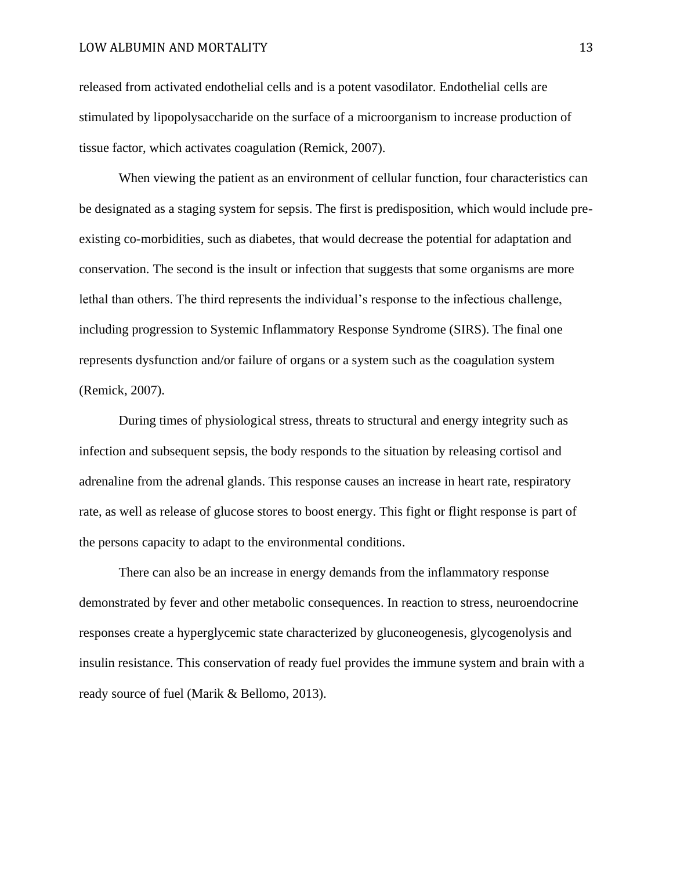### LOW ALBUMIN AND MORTALITY 13

released from activated endothelial cells and is a potent vasodilator. Endothelial cells are stimulated by lipopolysaccharide on the surface of a microorganism to increase production of tissue factor, which activates coagulation (Remick, 2007).

 When viewing the patient as an environment of cellular function, four characteristics can be designated as a staging system for sepsis. The first is predisposition, which would include preexisting co-morbidities, such as diabetes, that would decrease the potential for adaptation and conservation. The second is the insult or infection that suggests that some organisms are more lethal than others. The third represents the individual's response to the infectious challenge, including progression to Systemic Inflammatory Response Syndrome (SIRS). The final one represents dysfunction and/or failure of organs or a system such as the coagulation system (Remick, 2007).

During times of physiological stress, threats to structural and energy integrity such as infection and subsequent sepsis, the body responds to the situation by releasing cortisol and adrenaline from the adrenal glands. This response causes an increase in heart rate, respiratory rate, as well as release of glucose stores to boost energy. This fight or flight response is part of the persons capacity to adapt to the environmental conditions.

There can also be an increase in energy demands from the inflammatory response demonstrated by fever and other metabolic consequences. In reaction to stress, neuroendocrine responses create a hyperglycemic state characterized by gluconeogenesis, glycogenolysis and insulin resistance. This conservation of ready fuel provides the immune system and brain with a ready source of fuel (Marik & Bellomo, 2013).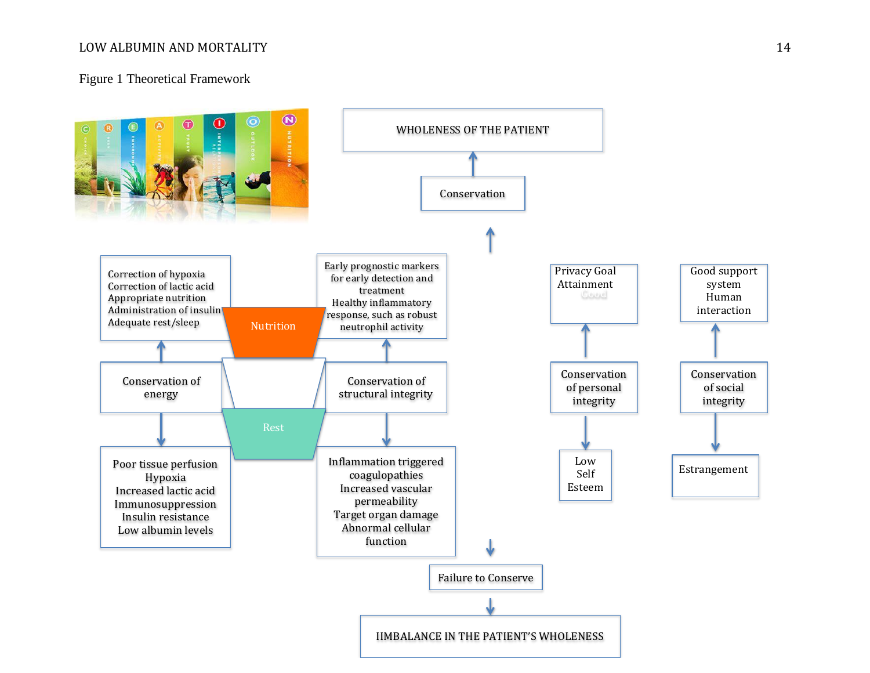## LOW ALBUMIN AND MORTALITY 14

## Figure 1 Theoretical Framework

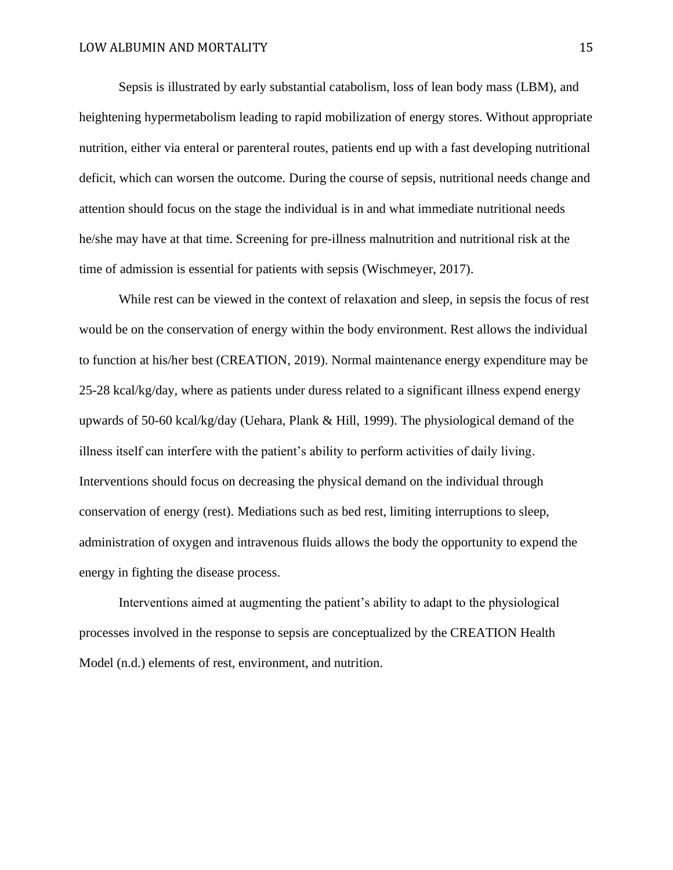Sepsis is illustrated by early substantial catabolism, loss of lean body mass (LBM), and heightening hypermetabolism leading to rapid mobilization of energy stores. Without appropriate nutrition, either via enteral or parenteral routes, patients end up with a fast developing nutritional deficit, which can worsen the outcome. During the course of sepsis, nutritional needs change and attention should focus on the stage the individual is in and what immediate nutritional needs he/she may have at that time. Screening for pre-illness malnutrition and nutritional risk at the time of admission is essential for patients with sepsis (Wischmeyer, 2017).

While rest can be viewed in the context of relaxation and sleep, in sepsis the focus of rest would be on the conservation of energy within the body environment. Rest allows the individual to function at his/her best (CREATION, 2019). Normal maintenance energy expenditure may be 25-28 kcal/kg/day, where as patients under duress related to a significant illness expend energy upwards of 50-60 kcal/kg/day (Uehara, Plank & Hill, 1999). The physiological demand of the illness itself can interfere with the patient's ability to perform activities of daily living. Interventions should focus on decreasing the physical demand on the individual through conservation of energy (rest). Mediations such as bed rest, limiting interruptions to sleep, administration of oxygen and intravenous fluids allows the body the opportunity to expend the energy in fighting the disease process.

Interventions aimed at augmenting the patient's ability to adapt to the physiological processes involved in the response to sepsis are conceptualized by the CREATION Health Model (n.d.) elements of rest, environment, and nutrition.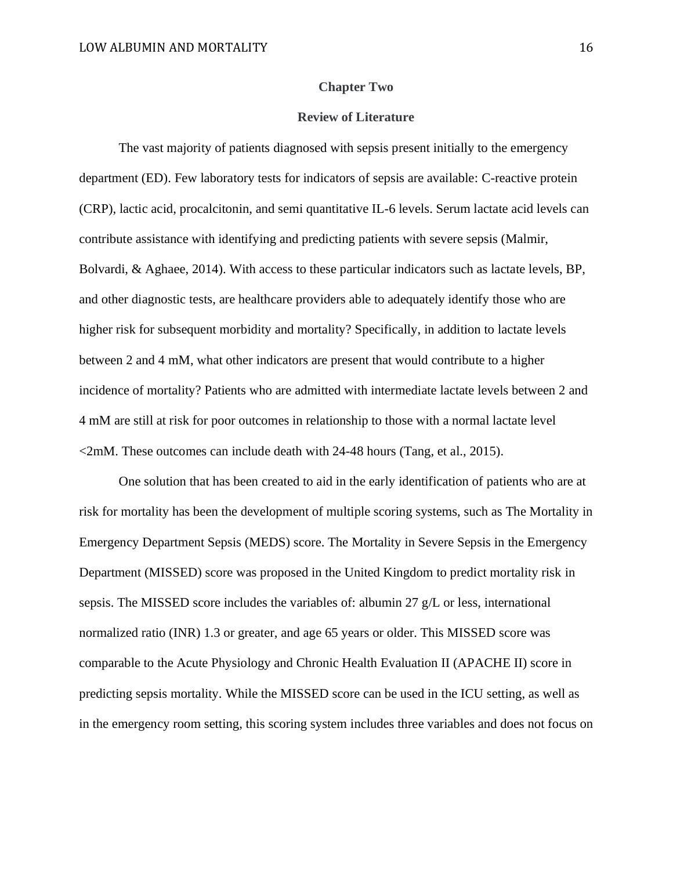#### **Chapter Two**

#### **Review of Literature**

 The vast majority of patients diagnosed with sepsis present initially to the emergency department (ED). Few laboratory tests for indicators of sepsis are available: C-reactive protein (CRP), lactic acid, procalcitonin, and semi quantitative IL-6 levels. Serum lactate acid levels can contribute assistance with identifying and predicting patients with severe sepsis (Malmir, Bolvardi, & Aghaee, 2014). With access to these particular indicators such as lactate levels, BP, and other diagnostic tests, are healthcare providers able to adequately identify those who are higher risk for subsequent morbidity and mortality? Specifically, in addition to lactate levels between 2 and 4 mM, what other indicators are present that would contribute to a higher incidence of mortality? Patients who are admitted with intermediate lactate levels between 2 and 4 mM are still at risk for poor outcomes in relationship to those with a normal lactate level  $\leq$ 2mM. These outcomes can include death with 24-48 hours (Tang, et al., 2015).

One solution that has been created to aid in the early identification of patients who are at risk for mortality has been the development of multiple scoring systems, such as The Mortality in Emergency Department Sepsis (MEDS) score. The Mortality in Severe Sepsis in the Emergency Department (MISSED) score was proposed in the United Kingdom to predict mortality risk in sepsis. The MISSED score includes the variables of: albumin 27 g/L or less, international normalized ratio (INR) 1.3 or greater, and age 65 years or older. This MISSED score was comparable to the Acute Physiology and Chronic Health Evaluation II (APACHE II) score in predicting sepsis mortality. While the MISSED score can be used in the ICU setting, as well as in the emergency room setting, this scoring system includes three variables and does not focus on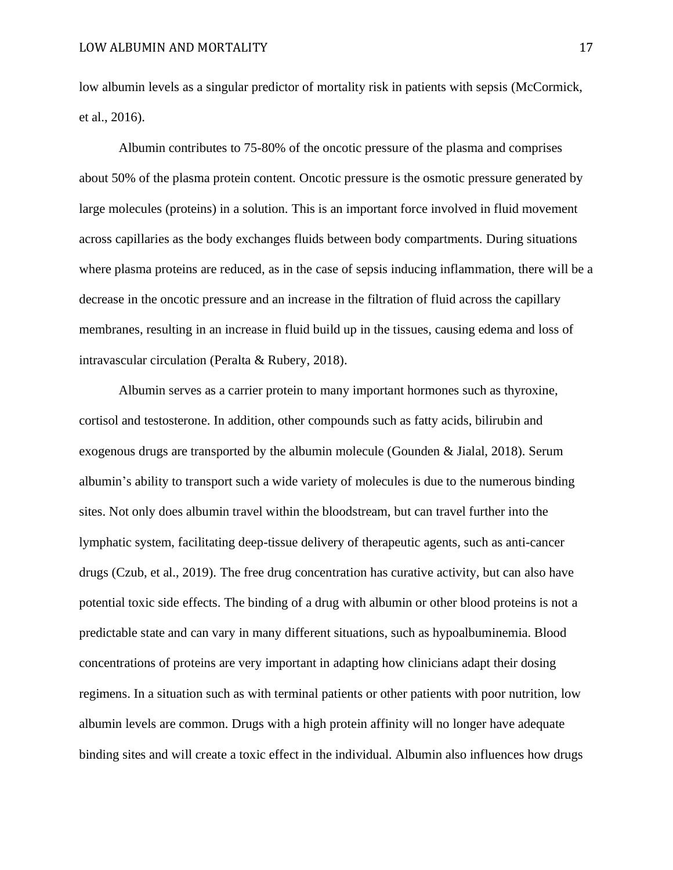low albumin levels as a singular predictor of mortality risk in patients with sepsis (McCormick, et al., 2016).

 Albumin contributes to 75-80% of the oncotic pressure of the plasma and comprises about 50% of the plasma protein content. Oncotic pressure is the osmotic pressure generated by large molecules (proteins) in a solution. This is an important force involved in fluid movement across capillaries as the body exchanges fluids between body compartments. During situations where plasma proteins are reduced, as in the case of sepsis inducing inflammation, there will be a decrease in the oncotic pressure and an increase in the filtration of fluid across the capillary membranes, resulting in an increase in fluid build up in the tissues, causing edema and loss of intravascular circulation (Peralta & Rubery, 2018).

 Albumin serves as a carrier protein to many important hormones such as thyroxine, cortisol and testosterone. In addition, other compounds such as fatty acids, bilirubin and exogenous drugs are transported by the albumin molecule (Gounden & Jialal, 2018). Serum albumin's ability to transport such a wide variety of molecules is due to the numerous binding sites. Not only does albumin travel within the bloodstream, but can travel further into the lymphatic system, facilitating deep-tissue delivery of therapeutic agents, such as anti-cancer drugs (Czub, et al., 2019). The free drug concentration has curative activity, but can also have potential toxic side effects. The binding of a drug with albumin or other blood proteins is not a predictable state and can vary in many different situations, such as hypoalbuminemia. Blood concentrations of proteins are very important in adapting how clinicians adapt their dosing regimens. In a situation such as with terminal patients or other patients with poor nutrition, low albumin levels are common. Drugs with a high protein affinity will no longer have adequate binding sites and will create a toxic effect in the individual. Albumin also influences how drugs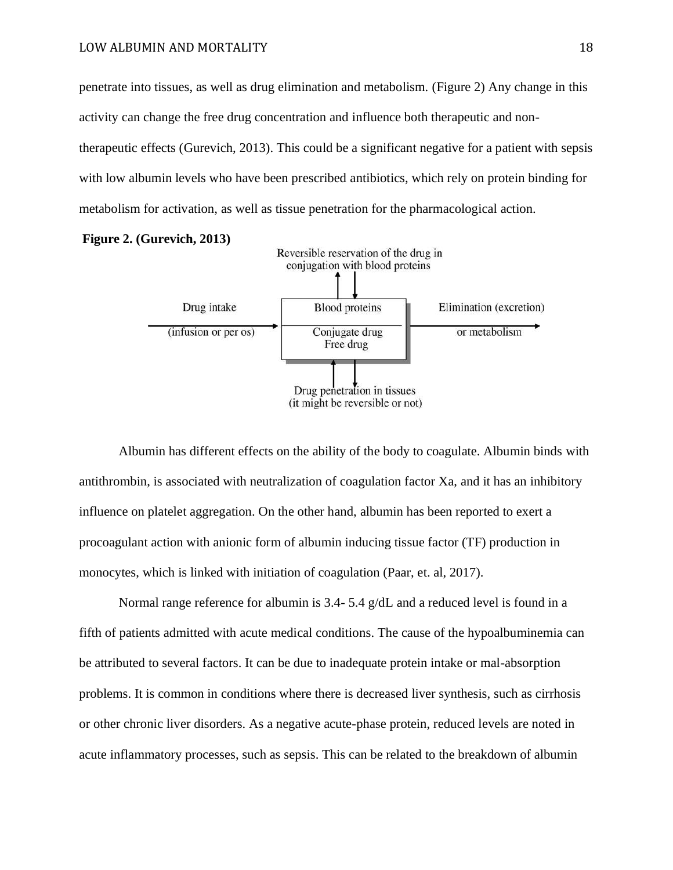penetrate into tissues, as well as drug elimination and metabolism. (Figure 2) Any change in this activity can change the free drug concentration and influence both therapeutic and nontherapeutic effects (Gurevich, 2013). This could be a significant negative for a patient with sepsis with low albumin levels who have been prescribed antibiotics, which rely on protein binding for metabolism for activation, as well as tissue penetration for the pharmacological action.



Albumin has different effects on the ability of the body to coagulate. Albumin binds with antithrombin, is associated with neutralization of coagulation factor Xa, and it has an inhibitory influence on platelet aggregation. On the other hand, albumin has been reported to exert a procoagulant action with anionic form of albumin inducing tissue factor (TF) production in monocytes, which is linked with initiation of coagulation (Paar, et. al, 2017).

Normal range reference for albumin is  $3.4 - 5.4$  g/dL and a reduced level is found in a fifth of patients admitted with acute medical conditions. The cause of the hypoalbuminemia can be attributed to several factors. It can be due to inadequate protein intake or mal-absorption problems. It is common in conditions where there is decreased liver synthesis, such as cirrhosis or other chronic liver disorders. As a negative acute-phase protein, reduced levels are noted in acute inflammatory processes, such as sepsis. This can be related to the breakdown of albumin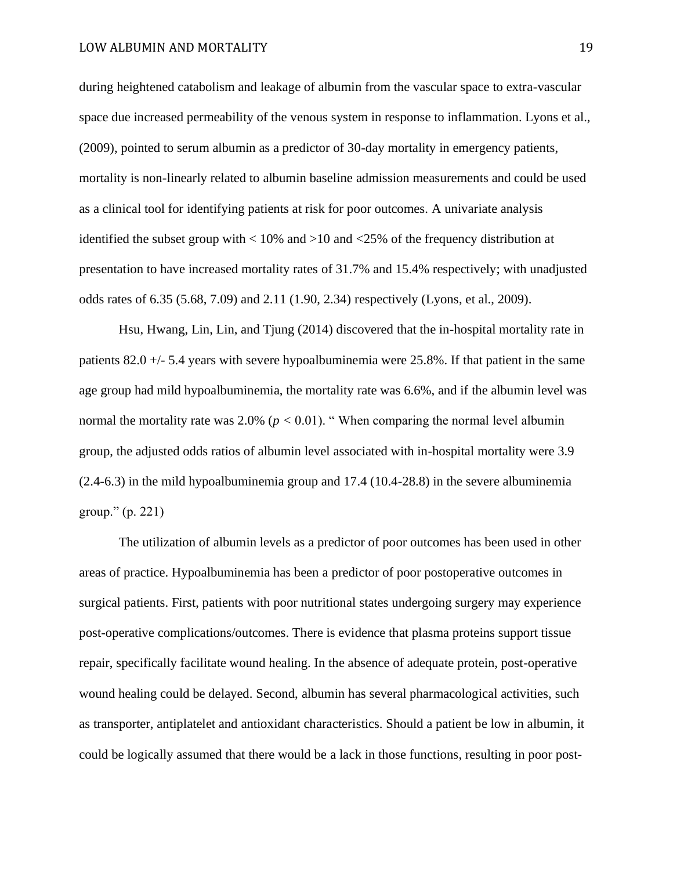during heightened catabolism and leakage of albumin from the vascular space to extra-vascular space due increased permeability of the venous system in response to inflammation. Lyons et al., (2009), pointed to serum albumin as a predictor of 30-day mortality in emergency patients, mortality is non-linearly related to albumin baseline admission measurements and could be used as a clinical tool for identifying patients at risk for poor outcomes. A univariate analysis identified the subset group with  $\langle 10\% \text{ and } 210 \text{ and } 25\% \text{ of the frequency distribution at }$ presentation to have increased mortality rates of 31.7% and 15.4% respectively; with unadjusted odds rates of 6.35 (5.68, 7.09) and 2.11 (1.90, 2.34) respectively (Lyons, et al., 2009).

Hsu, Hwang, Lin, Lin, and Tjung (2014) discovered that the in-hospital mortality rate in patients 82.0 +/- 5.4 years with severe hypoalbuminemia were 25.8%. If that patient in the same age group had mild hypoalbuminemia, the mortality rate was 6.6%, and if the albumin level was normal the mortality rate was  $2.0\%$  ( $p < 0.01$ ). "When comparing the normal level albumin group, the adjusted odds ratios of albumin level associated with in-hospital mortality were 3.9 (2.4-6.3) in the mild hypoalbuminemia group and 17.4 (10.4-28.8) in the severe albuminemia group." (p. 221)

The utilization of albumin levels as a predictor of poor outcomes has been used in other areas of practice. Hypoalbuminemia has been a predictor of poor postoperative outcomes in surgical patients. First, patients with poor nutritional states undergoing surgery may experience post-operative complications/outcomes. There is evidence that plasma proteins support tissue repair, specifically facilitate wound healing. In the absence of adequate protein, post-operative wound healing could be delayed. Second, albumin has several pharmacological activities, such as transporter, antiplatelet and antioxidant characteristics. Should a patient be low in albumin, it could be logically assumed that there would be a lack in those functions, resulting in poor post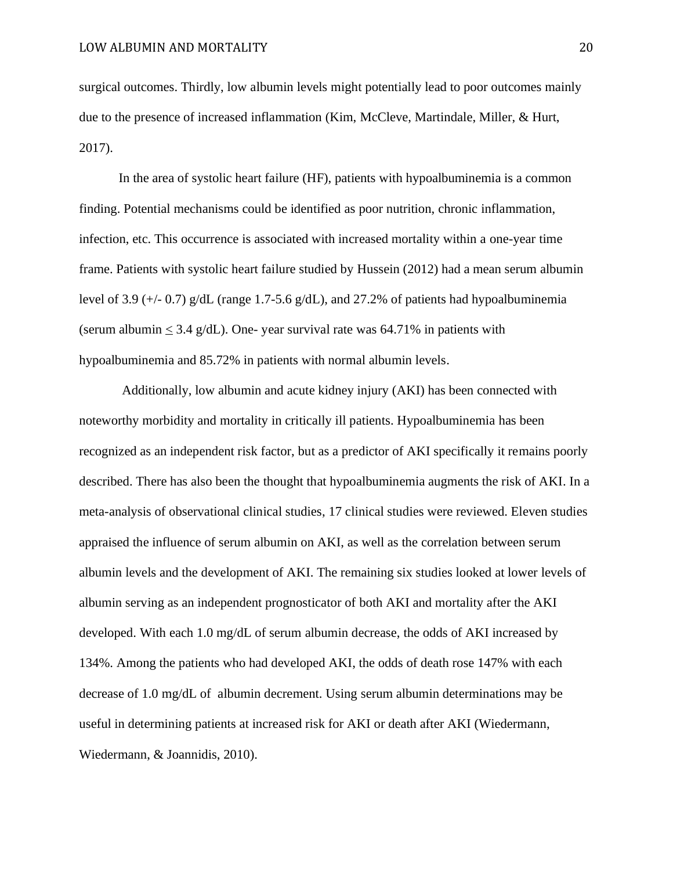surgical outcomes. Thirdly, low albumin levels might potentially lead to poor outcomes mainly due to the presence of increased inflammation (Kim, McCleve, Martindale, Miller, & Hurt, 2017).

In the area of systolic heart failure (HF), patients with hypoalbuminemia is a common finding. Potential mechanisms could be identified as poor nutrition, chronic inflammation, infection, etc. This occurrence is associated with increased mortality within a one-year time frame. Patients with systolic heart failure studied by Hussein (2012) had a mean serum albumin level of 3.9 (+/- 0.7)  $g/dL$  (range 1.7-5.6  $g/dL$ ), and 27.2% of patients had hypoalbuminemia (serum albumin  $\leq 3.4$  g/dL). One- year survival rate was 64.71% in patients with hypoalbuminemia and 85.72% in patients with normal albumin levels.

Additionally, low albumin and acute kidney injury (AKI) has been connected with noteworthy morbidity and mortality in critically ill patients. Hypoalbuminemia has been recognized as an independent risk factor, but as a predictor of AKI specifically it remains poorly described. There has also been the thought that hypoalbuminemia augments the risk of AKI. In a meta-analysis of observational clinical studies, 17 clinical studies were reviewed. Eleven studies appraised the influence of serum albumin on AKI, as well as the correlation between serum albumin levels and the development of AKI. The remaining six studies looked at lower levels of albumin serving as an independent prognosticator of both AKI and mortality after the AKI developed. With each 1.0 mg/dL of serum albumin decrease, the odds of AKI increased by 134%. Among the patients who had developed AKI, the odds of death rose 147% with each decrease of 1.0 mg/dL of albumin decrement. Using serum albumin determinations may be useful in determining patients at increased risk for AKI or death after AKI (Wiedermann, Wiedermann, & Joannidis, 2010).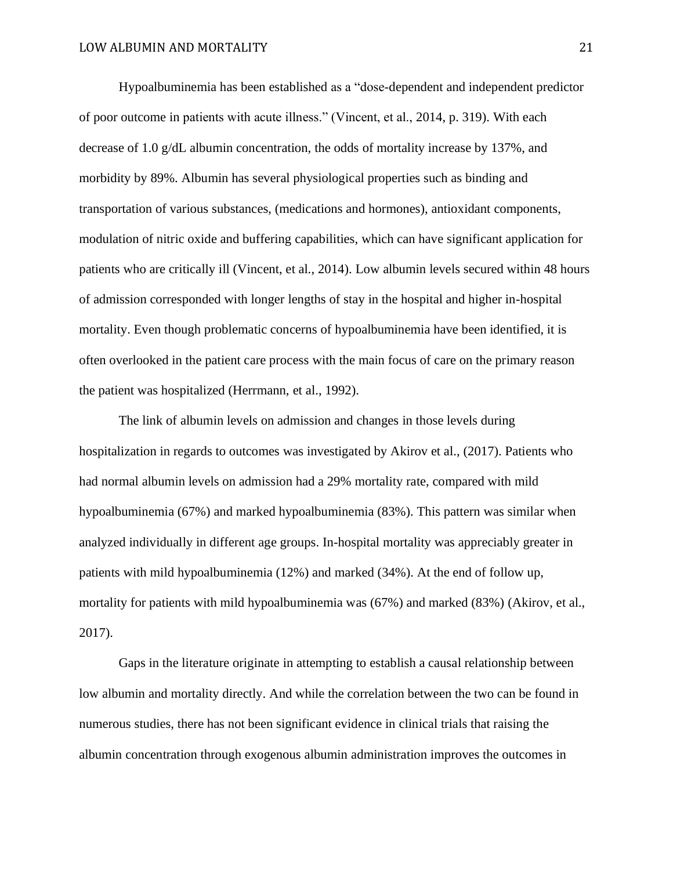Hypoalbuminemia has been established as a "dose-dependent and independent predictor of poor outcome in patients with acute illness." (Vincent, et al., 2014, p. 319). With each decrease of 1.0 g/dL albumin concentration, the odds of mortality increase by 137%, and morbidity by 89%. Albumin has several physiological properties such as binding and transportation of various substances, (medications and hormones), antioxidant components, modulation of nitric oxide and buffering capabilities, which can have significant application for patients who are critically ill (Vincent, et al., 2014). Low albumin levels secured within 48 hours of admission corresponded with longer lengths of stay in the hospital and higher in-hospital mortality. Even though problematic concerns of hypoalbuminemia have been identified, it is often overlooked in the patient care process with the main focus of care on the primary reason the patient was hospitalized (Herrmann, et al., 1992).

 The link of albumin levels on admission and changes in those levels during hospitalization in regards to outcomes was investigated by Akirov et al., (2017). Patients who had normal albumin levels on admission had a 29% mortality rate, compared with mild hypoalbuminemia (67%) and marked hypoalbuminemia (83%). This pattern was similar when analyzed individually in different age groups. In-hospital mortality was appreciably greater in patients with mild hypoalbuminemia (12%) and marked (34%). At the end of follow up, mortality for patients with mild hypoalbuminemia was (67%) and marked (83%) (Akirov, et al., 2017).

 Gaps in the literature originate in attempting to establish a causal relationship between low albumin and mortality directly. And while the correlation between the two can be found in numerous studies, there has not been significant evidence in clinical trials that raising the albumin concentration through exogenous albumin administration improves the outcomes in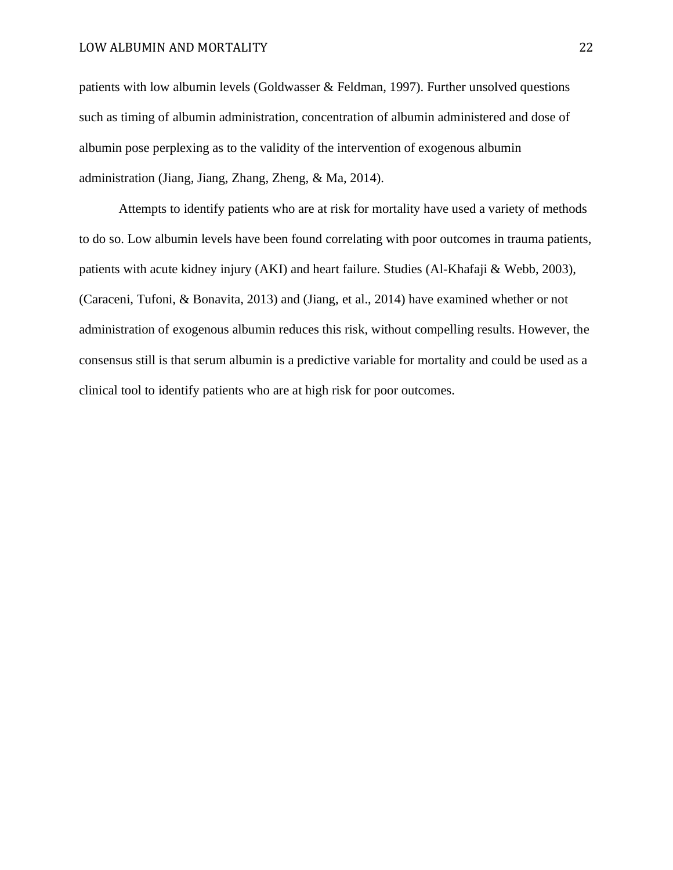patients with low albumin levels (Goldwasser & Feldman, 1997). Further unsolved questions such as timing of albumin administration, concentration of albumin administered and dose of albumin pose perplexing as to the validity of the intervention of exogenous albumin administration (Jiang, Jiang, Zhang, Zheng, & Ma, 2014).

 Attempts to identify patients who are at risk for mortality have used a variety of methods to do so. Low albumin levels have been found correlating with poor outcomes in trauma patients, patients with acute kidney injury (AKI) and heart failure. Studies (Al-Khafaji & Webb, 2003), (Caraceni, Tufoni, & Bonavita, 2013) and (Jiang, et al., 2014) have examined whether or not administration of exogenous albumin reduces this risk, without compelling results. However, the consensus still is that serum albumin is a predictive variable for mortality and could be used as a clinical tool to identify patients who are at high risk for poor outcomes.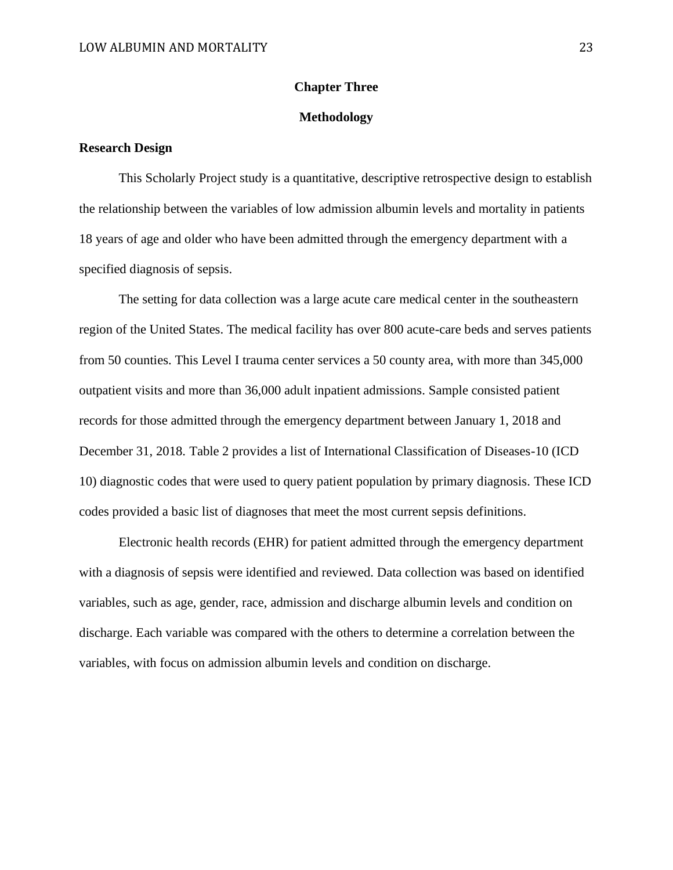## **Chapter Three**

### **Methodology**

## **Research Design**

This Scholarly Project study is a quantitative, descriptive retrospective design to establish the relationship between the variables of low admission albumin levels and mortality in patients 18 years of age and older who have been admitted through the emergency department with a specified diagnosis of sepsis.

 The setting for data collection was a large acute care medical center in the southeastern region of the United States. The medical facility has over 800 acute-care beds and serves patients from 50 counties. This Level I trauma center services a 50 county area, with more than 345,000 outpatient visits and more than 36,000 adult inpatient admissions. Sample consisted patient records for those admitted through the emergency department between January 1, 2018 and December 31, 2018. Table 2 provides a list of International Classification of Diseases-10 (ICD 10) diagnostic codes that were used to query patient population by primary diagnosis. These ICD codes provided a basic list of diagnoses that meet the most current sepsis definitions.

Electronic health records (EHR) for patient admitted through the emergency department with a diagnosis of sepsis were identified and reviewed. Data collection was based on identified variables, such as age, gender, race, admission and discharge albumin levels and condition on discharge. Each variable was compared with the others to determine a correlation between the variables, with focus on admission albumin levels and condition on discharge.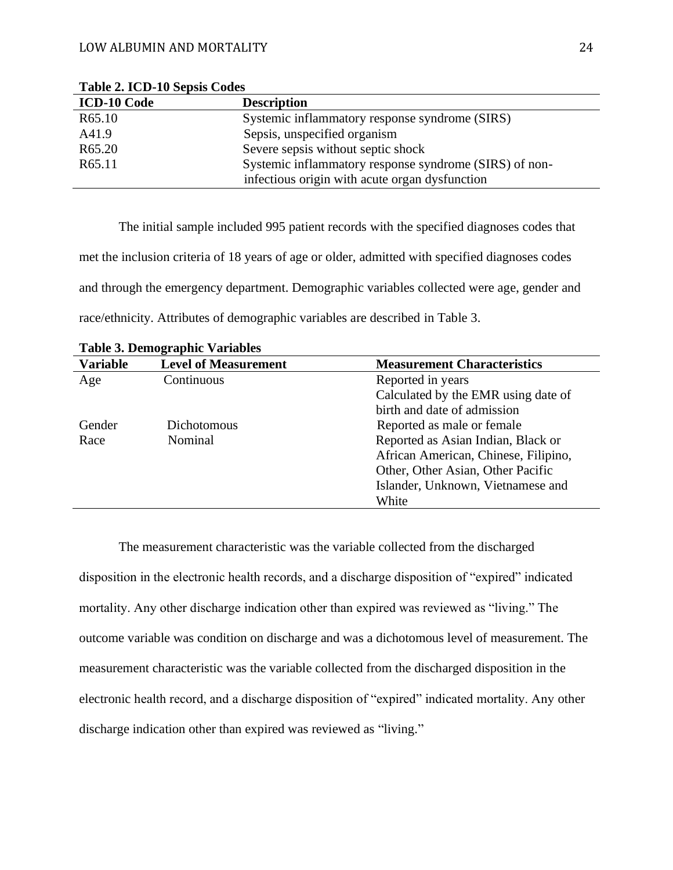| <b>ICD-10 Code</b> | <b>Description</b>                                     |
|--------------------|--------------------------------------------------------|
| R65.10             | Systemic inflammatory response syndrome (SIRS)         |
| A41.9              | Sepsis, unspecified organism                           |
| R <sub>65.20</sub> | Severe sepsis without septic shock                     |
| R65.11             | Systemic inflammatory response syndrome (SIRS) of non- |
|                    | infectious origin with acute organ dysfunction         |

**Table 2. ICD-10 Sepsis Codes**

 The initial sample included 995 patient records with the specified diagnoses codes that met the inclusion criteria of 18 years of age or older, admitted with specified diagnoses codes and through the emergency department. Demographic variables collected were age, gender and race/ethnicity. Attributes of demographic variables are described in Table 3.

| <b>Variable</b> | <b>Level of Measurement</b> | <b>Measurement Characteristics</b>   |
|-----------------|-----------------------------|--------------------------------------|
| Age             | Continuous                  | Reported in years                    |
|                 |                             | Calculated by the EMR using date of  |
|                 |                             | birth and date of admission          |
| Gender          | Dichotomous                 | Reported as male or female.          |
| Race            | Nominal                     | Reported as Asian Indian, Black or   |
|                 |                             | African American, Chinese, Filipino, |
|                 |                             | Other, Other Asian, Other Pacific    |
|                 |                             | Islander, Unknown, Vietnamese and    |
|                 |                             | White                                |

**Table 3. Demographic Variables**

 The measurement characteristic was the variable collected from the discharged disposition in the electronic health records, and a discharge disposition of "expired" indicated mortality. Any other discharge indication other than expired was reviewed as "living." The outcome variable was condition on discharge and was a dichotomous level of measurement. The measurement characteristic was the variable collected from the discharged disposition in the electronic health record, and a discharge disposition of "expired" indicated mortality. Any other discharge indication other than expired was reviewed as "living."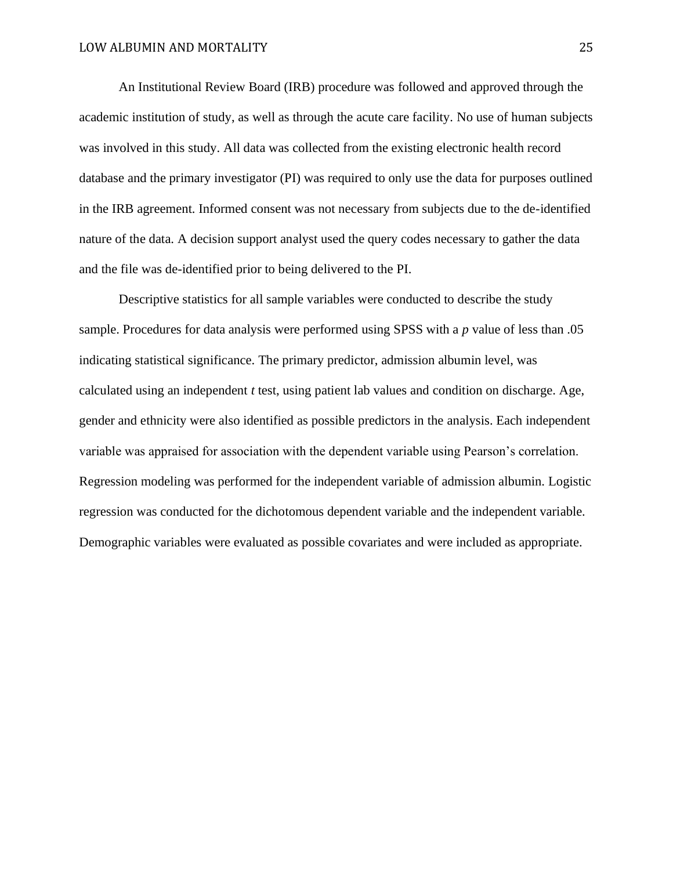An Institutional Review Board (IRB) procedure was followed and approved through the academic institution of study, as well as through the acute care facility. No use of human subjects was involved in this study. All data was collected from the existing electronic health record database and the primary investigator (PI) was required to only use the data for purposes outlined in the IRB agreement. Informed consent was not necessary from subjects due to the de-identified nature of the data. A decision support analyst used the query codes necessary to gather the data and the file was de-identified prior to being delivered to the PI.

Descriptive statistics for all sample variables were conducted to describe the study sample. Procedures for data analysis were performed using SPSS with a *p* value of less than .05 indicating statistical significance. The primary predictor, admission albumin level, was calculated using an independent *t* test, using patient lab values and condition on discharge. Age, gender and ethnicity were also identified as possible predictors in the analysis. Each independent variable was appraised for association with the dependent variable using Pearson's correlation. Regression modeling was performed for the independent variable of admission albumin. Logistic regression was conducted for the dichotomous dependent variable and the independent variable. Demographic variables were evaluated as possible covariates and were included as appropriate.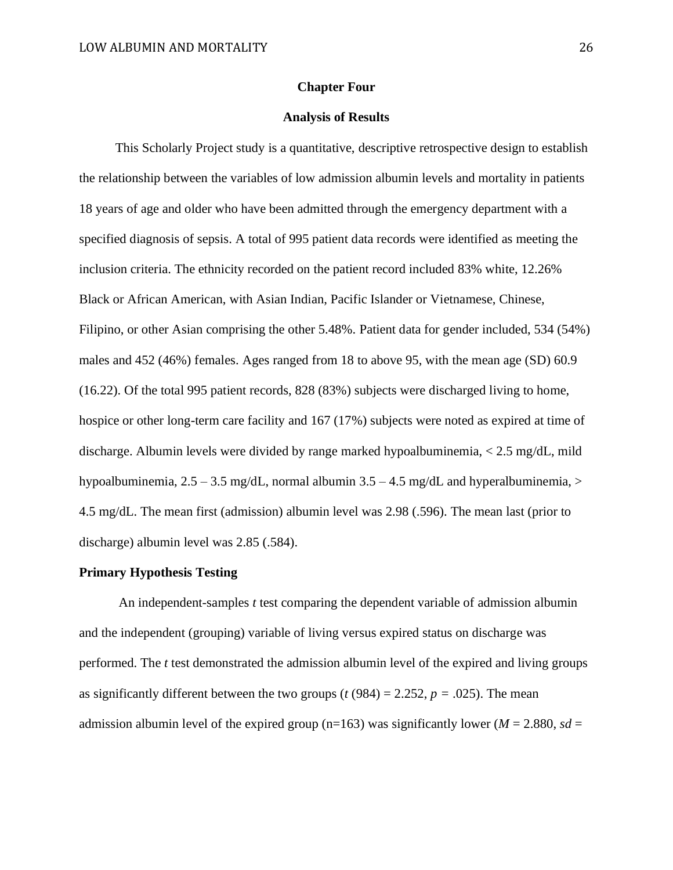#### **Chapter Four**

## **Analysis of Results**

 This Scholarly Project study is a quantitative, descriptive retrospective design to establish the relationship between the variables of low admission albumin levels and mortality in patients 18 years of age and older who have been admitted through the emergency department with a specified diagnosis of sepsis. A total of 995 patient data records were identified as meeting the inclusion criteria. The ethnicity recorded on the patient record included 83% white, 12.26% Black or African American, with Asian Indian, Pacific Islander or Vietnamese, Chinese, Filipino, or other Asian comprising the other 5.48%. Patient data for gender included, 534 (54%) males and 452 (46%) females. Ages ranged from 18 to above 95, with the mean age (SD) 60.9 (16.22). Of the total 995 patient records, 828 (83%) subjects were discharged living to home, hospice or other long-term care facility and 167 (17%) subjects were noted as expired at time of discharge. Albumin levels were divided by range marked hypoalbuminemia, < 2.5 mg/dL, mild hypoalbuminemia,  $2.5 - 3.5$  mg/dL, normal albumin  $3.5 - 4.5$  mg/dL and hyperalbuminemia,  $>$ 4.5 mg/dL. The mean first (admission) albumin level was 2.98 (.596). The mean last (prior to discharge) albumin level was 2.85 (.584).

#### **Primary Hypothesis Testing**

 An independent-samples *t* test comparing the dependent variable of admission albumin and the independent (grouping) variable of living versus expired status on discharge was performed. The *t* test demonstrated the admission albumin level of the expired and living groups as significantly different between the two groups ( $t$  (984) = 2.252,  $p = .025$ ). The mean admission albumin level of the expired group (n=163) was significantly lower ( $M = 2.880$ ,  $sd =$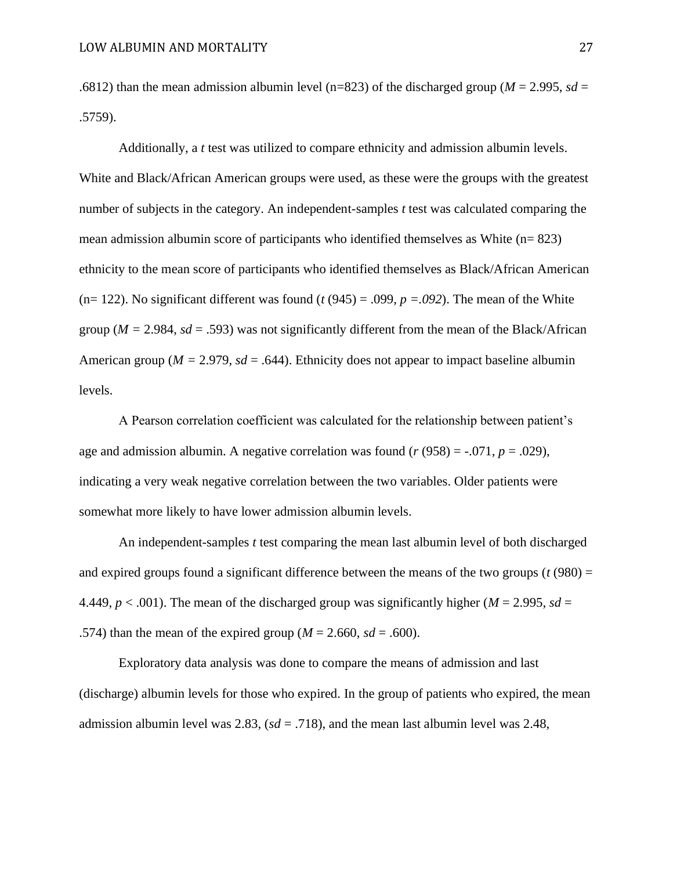.6812) than the mean admission albumin level (n=823) of the discharged group ( $M = 2.995$ ,  $sd =$ .5759).

 Additionally, a *t* test was utilized to compare ethnicity and admission albumin levels. White and Black/African American groups were used, as these were the groups with the greatest number of subjects in the category. An independent-samples *t* test was calculated comparing the mean admission albumin score of participants who identified themselves as White (n= 823) ethnicity to the mean score of participants who identified themselves as Black/African American (n= 122). No significant different was found  $(t(945) = .099, p = .092)$ . The mean of the White group ( $M = 2.984$ ,  $sd = .593$ ) was not significantly different from the mean of the Black/African American group ( $M = 2.979$ ,  $sd = .644$ ). Ethnicity does not appear to impact baseline albumin levels.

 A Pearson correlation coefficient was calculated for the relationship between patient's age and admission albumin. A negative correlation was found  $(r (958) = -.071, p = .029)$ , indicating a very weak negative correlation between the two variables. Older patients were somewhat more likely to have lower admission albumin levels.

An independent-samples *t* test comparing the mean last albumin level of both discharged and expired groups found a significant difference between the means of the two groups  $(t (980) =$ 4.449,  $p < .001$ ). The mean of the discharged group was significantly higher ( $M = 2.995$ ,  $sd =$ .574) than the mean of the expired group ( $M = 2.660$ ,  $sd = .600$ ).

 Exploratory data analysis was done to compare the means of admission and last (discharge) albumin levels for those who expired. In the group of patients who expired, the mean admission albumin level was 2.83, (*sd* = .718), and the mean last albumin level was 2.48,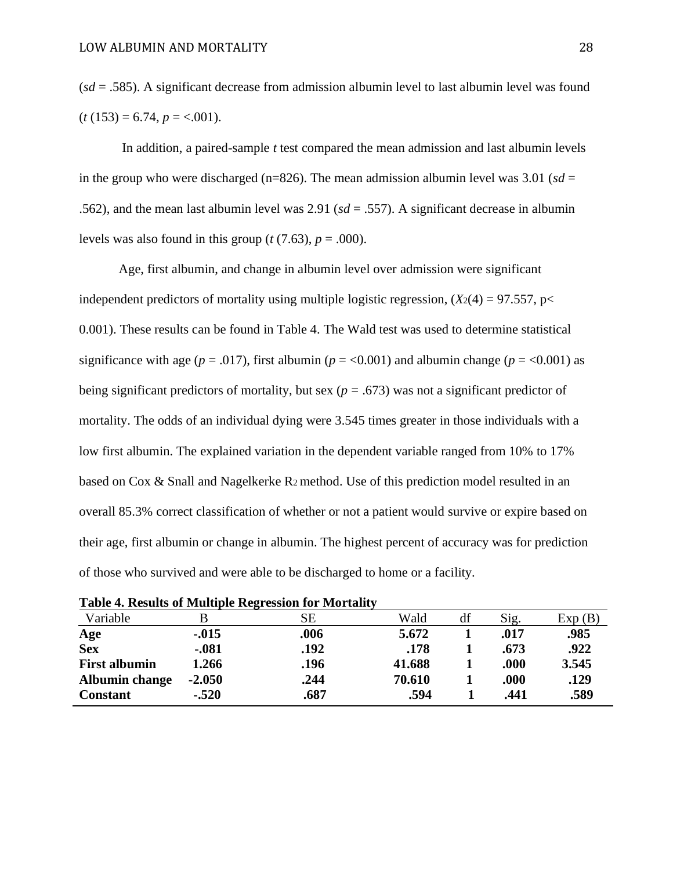(*sd* = .585). A significant decrease from admission albumin level to last albumin level was found  $(t (153) = 6.74, p = <.001)$ .

 In addition, a paired-sample *t* test compared the mean admission and last albumin levels in the group who were discharged (n=826). The mean admission albumin level was  $3.01$  ( $sd =$ .562), and the mean last albumin level was 2.91 (*sd* = .557). A significant decrease in albumin levels was also found in this group ( $t$  (7.63),  $p = .000$ ).

 Age, first albumin, and change in albumin level over admission were significant independent predictors of mortality using multiple logistic regression,  $(X_2(4) = 97.557, p <$ 0.001). These results can be found in Table 4. The Wald test was used to determine statistical significance with age ( $p = .017$ ), first albumin ( $p = 0.001$ ) and albumin change ( $p = 0.001$ ) as being significant predictors of mortality, but sex ( $p = .673$ ) was not a significant predictor of mortality. The odds of an individual dying were 3.545 times greater in those individuals with a low first albumin. The explained variation in the dependent variable ranged from 10% to 17% based on Cox & Snall and Nagelkerke R2 method. Use of this prediction model resulted in an overall 85.3% correct classification of whether or not a patient would survive or expire based on their age, first albumin or change in albumin. The highest percent of accuracy was for prediction of those who survived and were able to be discharged to home or a facility.

|                       |          | Table <b>4.</b> Results of Multiple Regression for Mortanty |        |    |      |        |
|-----------------------|----------|-------------------------------------------------------------|--------|----|------|--------|
| Variable              |          | SЕ                                                          | Wald   | df | Sig. | Exp(B) |
| Age                   | $-0.015$ | .006                                                        | 5.672  |    | .017 | .985   |
| <b>Sex</b>            | $-.081$  | .192                                                        | .178   |    | .673 | .922   |
| <b>First albumin</b>  | 1.266    | .196                                                        | 41.688 |    | .000 | 3.545  |
| <b>Albumin change</b> | $-2.050$ | .244                                                        | 70.610 |    | .000 | .129   |
| <b>Constant</b>       | $-.520$  | .687                                                        | .594   |    | .441 | .589   |

|  |  | <b>Table 4. Results of Multiple Regression for Mortality</b> |  |
|--|--|--------------------------------------------------------------|--|
|  |  |                                                              |  |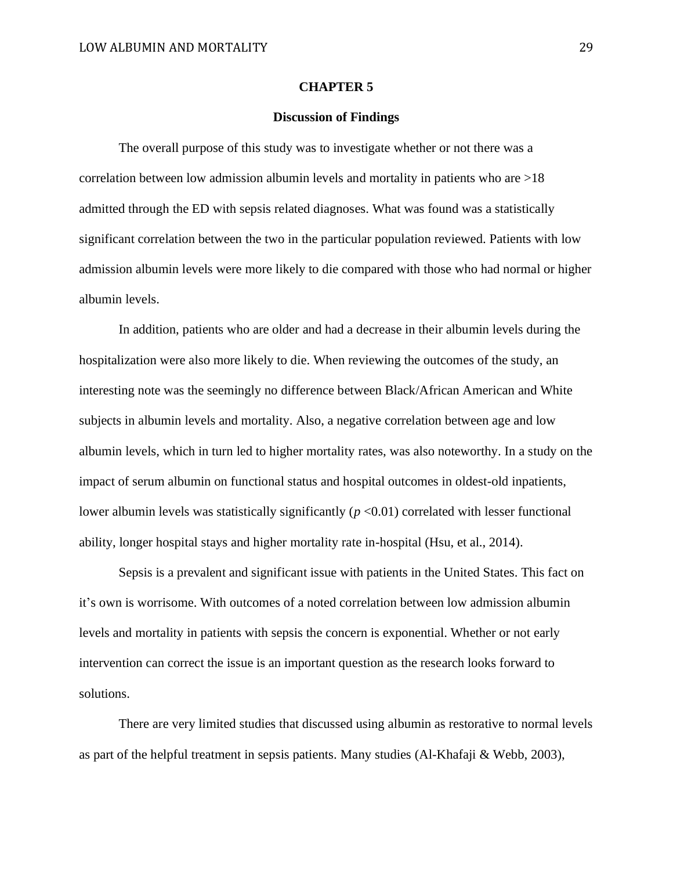#### **CHAPTER 5**

## **Discussion of Findings**

 The overall purpose of this study was to investigate whether or not there was a correlation between low admission albumin levels and mortality in patients who are >18 admitted through the ED with sepsis related diagnoses. What was found was a statistically significant correlation between the two in the particular population reviewed. Patients with low admission albumin levels were more likely to die compared with those who had normal or higher albumin levels.

In addition, patients who are older and had a decrease in their albumin levels during the hospitalization were also more likely to die. When reviewing the outcomes of the study, an interesting note was the seemingly no difference between Black/African American and White subjects in albumin levels and mortality. Also, a negative correlation between age and low albumin levels, which in turn led to higher mortality rates, was also noteworthy. In a study on the impact of serum albumin on functional status and hospital outcomes in oldest-old inpatients, lower albumin levels was statistically significantly ( $p < 0.01$ ) correlated with lesser functional ability, longer hospital stays and higher mortality rate in-hospital (Hsu, et al., 2014).

Sepsis is a prevalent and significant issue with patients in the United States. This fact on it's own is worrisome. With outcomes of a noted correlation between low admission albumin levels and mortality in patients with sepsis the concern is exponential. Whether or not early intervention can correct the issue is an important question as the research looks forward to solutions.

 There are very limited studies that discussed using albumin as restorative to normal levels as part of the helpful treatment in sepsis patients. Many studies (Al-Khafaji & Webb, 2003),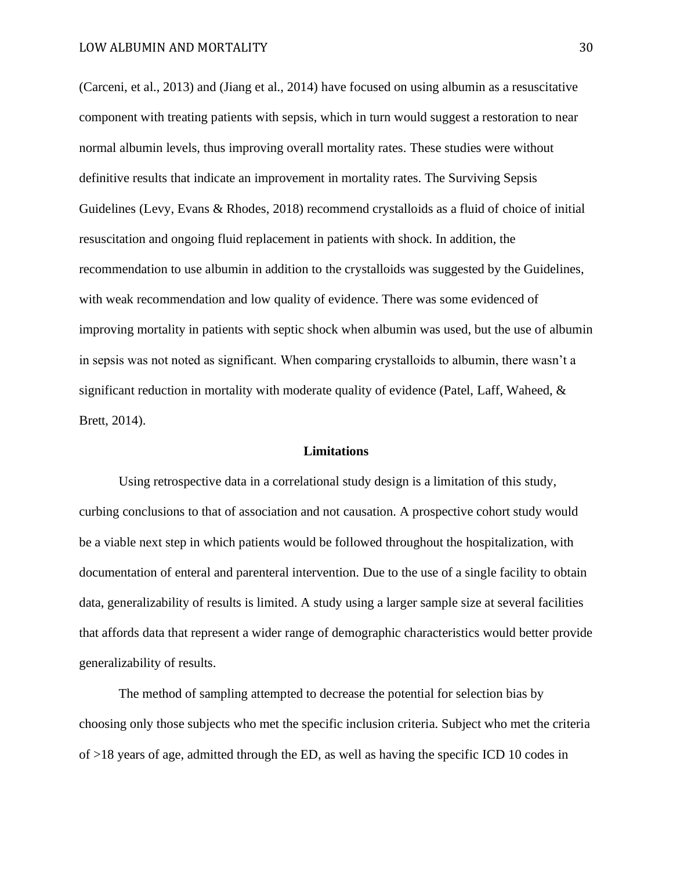(Carceni, et al., 2013) and (Jiang et al., 2014) have focused on using albumin as a resuscitative component with treating patients with sepsis, which in turn would suggest a restoration to near normal albumin levels, thus improving overall mortality rates. These studies were without definitive results that indicate an improvement in mortality rates. The Surviving Sepsis Guidelines (Levy, Evans & Rhodes, 2018) recommend crystalloids as a fluid of choice of initial resuscitation and ongoing fluid replacement in patients with shock. In addition, the recommendation to use albumin in addition to the crystalloids was suggested by the Guidelines, with weak recommendation and low quality of evidence. There was some evidenced of improving mortality in patients with septic shock when albumin was used, but the use of albumin in sepsis was not noted as significant. When comparing crystalloids to albumin, there wasn't a significant reduction in mortality with moderate quality of evidence (Patel, Laff, Waheed, & Brett, 2014).

#### **Limitations**

Using retrospective data in a correlational study design is a limitation of this study, curbing conclusions to that of association and not causation. A prospective cohort study would be a viable next step in which patients would be followed throughout the hospitalization, with documentation of enteral and parenteral intervention. Due to the use of a single facility to obtain data, generalizability of results is limited. A study using a larger sample size at several facilities that affords data that represent a wider range of demographic characteristics would better provide generalizability of results.

 The method of sampling attempted to decrease the potential for selection bias by choosing only those subjects who met the specific inclusion criteria. Subject who met the criteria of >18 years of age, admitted through the ED, as well as having the specific ICD 10 codes in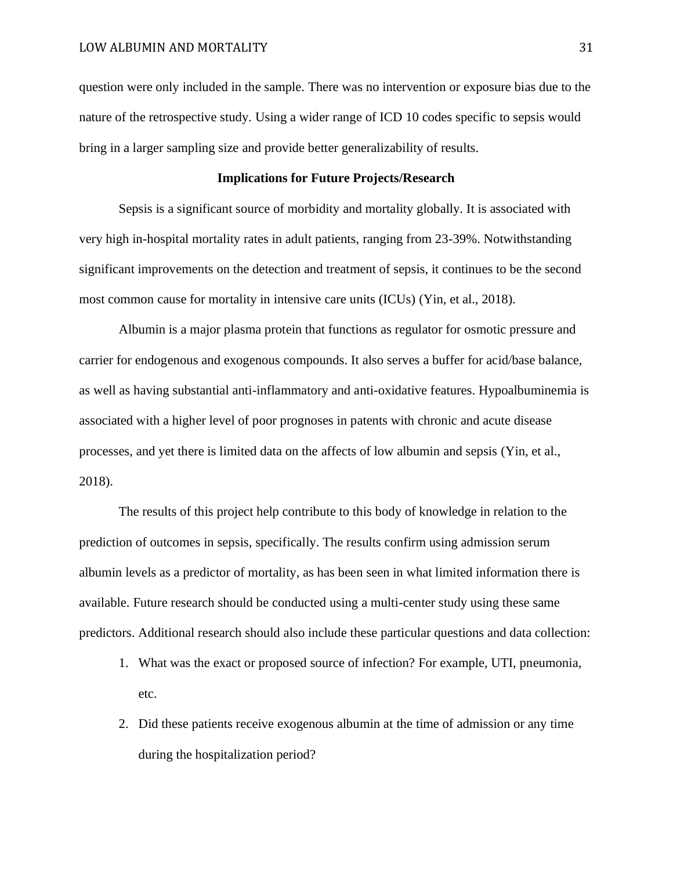question were only included in the sample. There was no intervention or exposure bias due to the nature of the retrospective study. Using a wider range of ICD 10 codes specific to sepsis would bring in a larger sampling size and provide better generalizability of results.

## **Implications for Future Projects/Research**

 Sepsis is a significant source of morbidity and mortality globally. It is associated with very high in-hospital mortality rates in adult patients, ranging from 23-39%. Notwithstanding significant improvements on the detection and treatment of sepsis, it continues to be the second most common cause for mortality in intensive care units (ICUs) (Yin, et al., 2018).

 Albumin is a major plasma protein that functions as regulator for osmotic pressure and carrier for endogenous and exogenous compounds. It also serves a buffer for acid/base balance, as well as having substantial anti-inflammatory and anti-oxidative features. Hypoalbuminemia is associated with a higher level of poor prognoses in patents with chronic and acute disease processes, and yet there is limited data on the affects of low albumin and sepsis (Yin, et al., 2018).

 The results of this project help contribute to this body of knowledge in relation to the prediction of outcomes in sepsis, specifically. The results confirm using admission serum albumin levels as a predictor of mortality, as has been seen in what limited information there is available. Future research should be conducted using a multi-center study using these same predictors. Additional research should also include these particular questions and data collection:

- 1. What was the exact or proposed source of infection? For example, UTI, pneumonia, etc.
- 2. Did these patients receive exogenous albumin at the time of admission or any time during the hospitalization period?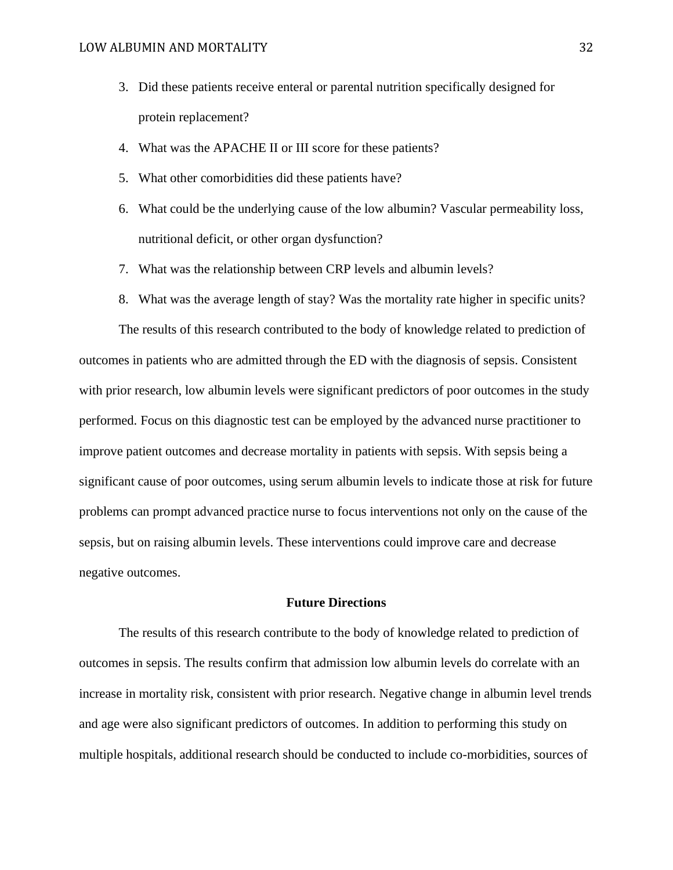- 3. Did these patients receive enteral or parental nutrition specifically designed for protein replacement?
- 4. What was the APACHE II or III score for these patients?
- 5. What other comorbidities did these patients have?
- 6. What could be the underlying cause of the low albumin? Vascular permeability loss, nutritional deficit, or other organ dysfunction?
- 7. What was the relationship between CRP levels and albumin levels?
- 8. What was the average length of stay? Was the mortality rate higher in specific units?

The results of this research contributed to the body of knowledge related to prediction of outcomes in patients who are admitted through the ED with the diagnosis of sepsis. Consistent with prior research, low albumin levels were significant predictors of poor outcomes in the study performed. Focus on this diagnostic test can be employed by the advanced nurse practitioner to improve patient outcomes and decrease mortality in patients with sepsis. With sepsis being a significant cause of poor outcomes, using serum albumin levels to indicate those at risk for future problems can prompt advanced practice nurse to focus interventions not only on the cause of the sepsis, but on raising albumin levels. These interventions could improve care and decrease negative outcomes.

## **Future Directions**

 The results of this research contribute to the body of knowledge related to prediction of outcomes in sepsis. The results confirm that admission low albumin levels do correlate with an increase in mortality risk, consistent with prior research. Negative change in albumin level trends and age were also significant predictors of outcomes. In addition to performing this study on multiple hospitals, additional research should be conducted to include co-morbidities, sources of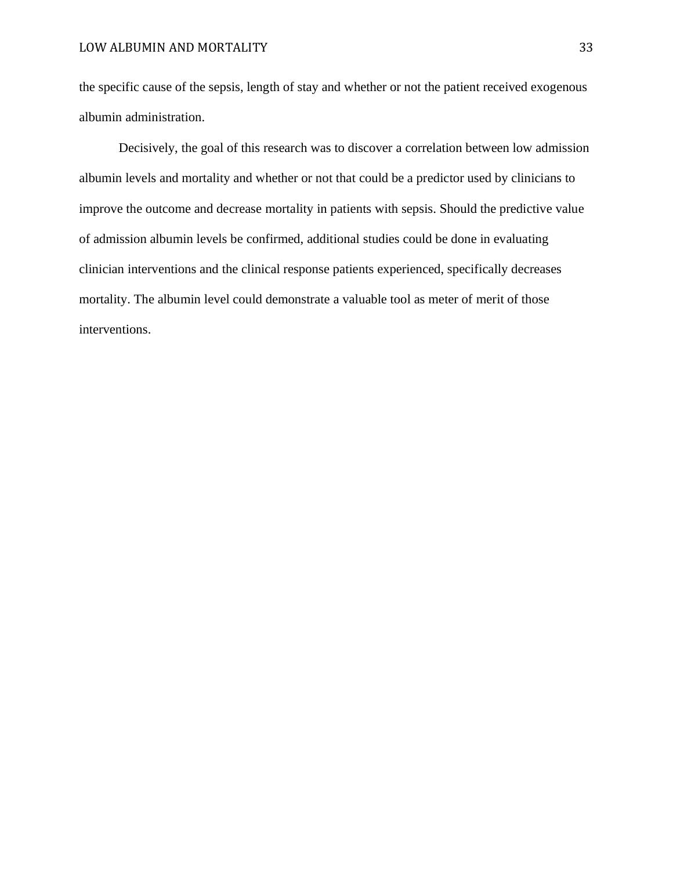the specific cause of the sepsis, length of stay and whether or not the patient received exogenous albumin administration.

 Decisively, the goal of this research was to discover a correlation between low admission albumin levels and mortality and whether or not that could be a predictor used by clinicians to improve the outcome and decrease mortality in patients with sepsis. Should the predictive value of admission albumin levels be confirmed, additional studies could be done in evaluating clinician interventions and the clinical response patients experienced, specifically decreases mortality. The albumin level could demonstrate a valuable tool as meter of merit of those interventions.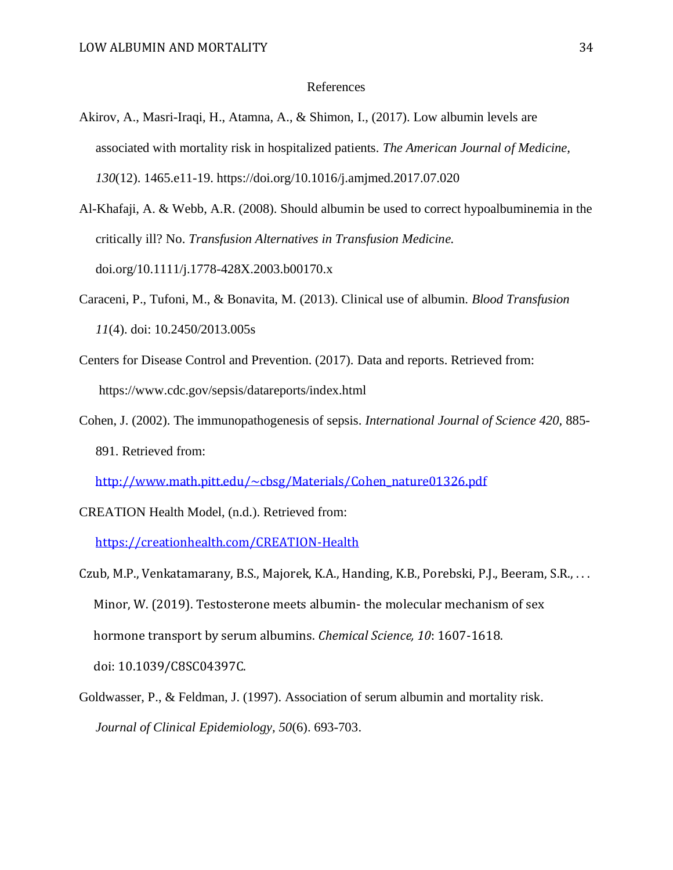#### References

- Akirov, A., Masri-Iraqi, H., Atamna, A., & Shimon, I., (2017). Low albumin levels are associated with mortality risk in hospitalized patients. *The American Journal of Medicine, 130*(12). 1465.e11-19. https://doi.org/10.1016/j.amjmed.2017.07.020
- Al-Khafaji, A. & Webb, A.R. (2008). Should albumin be used to correct hypoalbuminemia in the critically ill? No. *Transfusion Alternatives in Transfusion Medicine.* doi.org/10.1111/j.1778-428X.2003.b00170.x
- Caraceni, P., Tufoni, M., & Bonavita, M. (2013). Clinical use of albumin. *Blood Transfusion 11*(4). doi: 10.2450/2013.005s
- Centers for Disease Control and Prevention. (2017). Data and reports. Retrieved from: https://www.cdc.gov/sepsis/datareports/index.html
- Cohen, J. (2002). The immunopathogenesis of sepsis. *International Journal of Science 420,* 885- 891. Retrieved from:

[http://www.math.pitt.edu/~cbsg/Materials/Cohen\\_nature01326.pdf](http://www.math.pitt.edu/~cbsg/Materials/Cohen_nature01326.pdf)

CREATION Health Model, (n.d.). Retrieved from:

<https://creationhealth.com/CREATION-Health>

Czub, M.P., Venkatamarany, B.S., Majorek, K.A., Handing, K.B., Porebski, P.J., Beeram, S.R., . . . Minor, W. (2019). Testosterone meets albumin- the molecular mechanism of sex hormone transport by serum albumins. *Chemical Science, 10*: 1607-1618. doi: 10.1039/C8SC04397C.

Goldwasser, P., & Feldman, J. (1997). Association of serum albumin and mortality risk. *Journal of Clinical Epidemiology, 50*(6). 693-703.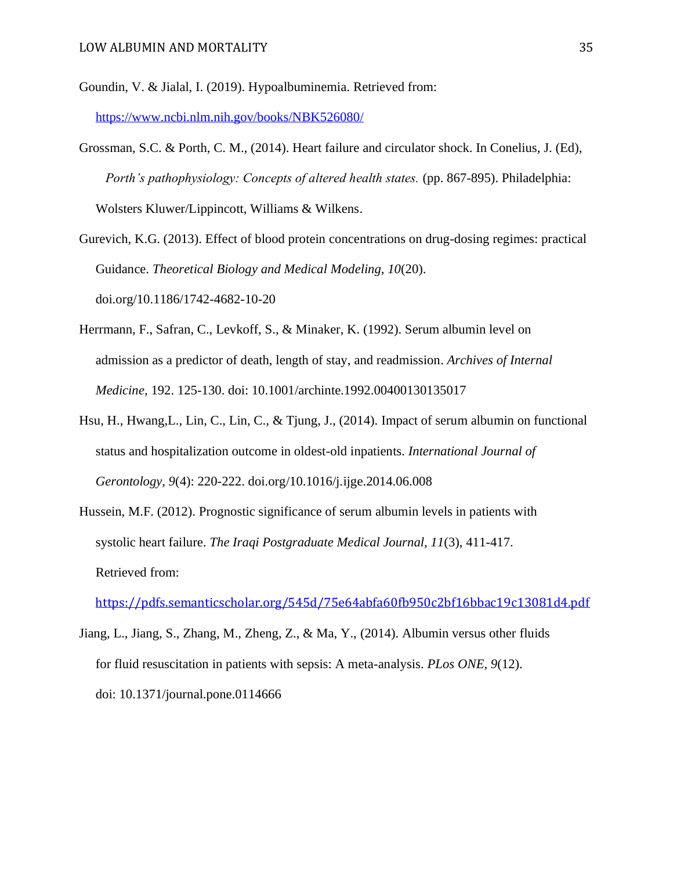- Goundin, V. & Jialal, I. (2019). Hypoalbuminemia. Retrieved from: <https://www.ncbi.nlm.nih.gov/books/NBK526080/>
- Grossman, S.C. & Porth, C. M., (2014). Heart failure and circulator shock. In Conelius, J. (Ed), *Porth's pathophysiology: Concepts of altered health states.* (pp. 867-895). Philadelphia: Wolsters Kluwer/Lippincott, Williams & Wilkens.
- Gurevich, K.G. (2013). Effect of blood protein concentrations on drug-dosing regimes: practical Guidance. *Theoretical Biology and Medical Modeling, 10*(20). doi.org/10.1186/1742-4682-10-20
- Herrmann, F., Safran, C., Levkoff, S., & Minaker, K. (1992). Serum albumin level on admission as a predictor of death, length of stay, and readmission. *Archives of Internal Medicine,* 192. 125-130. doi: 10.1001/archinte.1992.00400130135017
- Hsu, H., Hwang,L., Lin, C., Lin, C., & Tjung, J., (2014). Impact of serum albumin on functional status and hospitalization outcome in oldest-old inpatients. *International Journal of Gerontology, 9*(4): 220-222. doi.org/10.1016/j.ijge.2014.06.008
- Hussein, M.F. (2012). Prognostic significance of serum albumin levels in patients with systolic heart failure. *The Iraqi Postgraduate Medical Journal, 11*(3), 411-417. Retrieved from:

<https://pdfs.semanticscholar.org/545d/75e64abfa60fb950c2bf16bbac19c13081d4.pdf>

Jiang, L., Jiang, S., Zhang, M., Zheng, Z., & Ma, Y., (2014). Albumin versus other fluids for fluid resuscitation in patients with sepsis: A meta-analysis. *PLos ONE, 9*(12). doi: 10.1371/journal.pone.0114666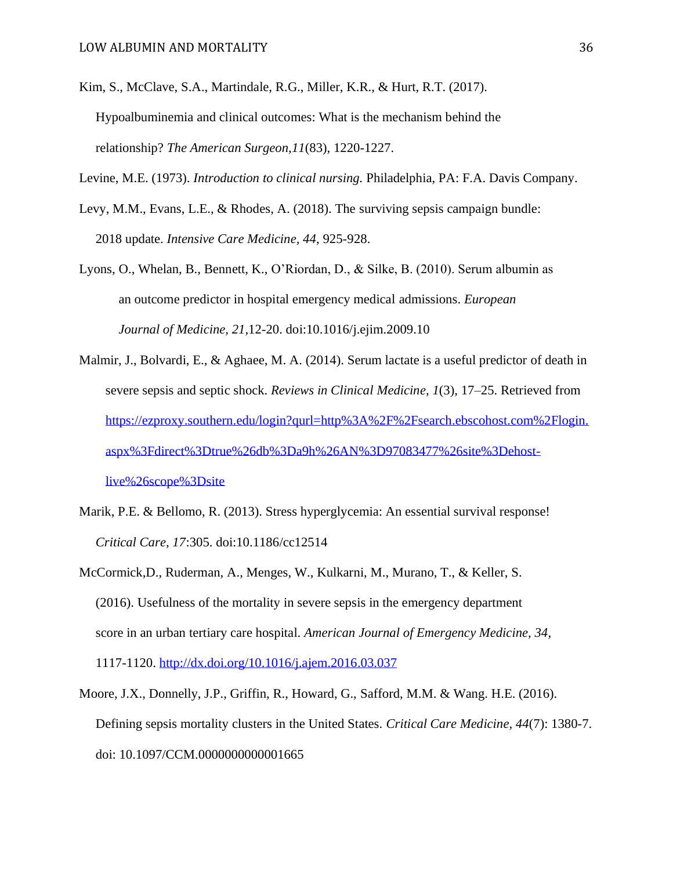Kim, S., McClave, S.A., Martindale, R.G., Miller, K.R., & Hurt, R.T. (2017). Hypoalbuminemia and clinical outcomes: What is the mechanism behind the relationship? *The American Surgeon,11*(83), 1220-1227.

- Levy, M.M., Evans, L.E., & Rhodes, A. (2018). The surviving sepsis campaign bundle: 2018 update. *Intensive Care Medicine, 44*, 925-928.
- Lyons, O., Whelan, B., Bennett, K., O'Riordan, D., & Silke, B. (2010). Serum albumin as an outcome predictor in hospital emergency medical admissions. *European Journal of Medicine, 21,*12-20. doi:10.1016/j.ejim.2009.10
- Malmir, J., Bolvardi, E., & Aghaee, M. A. (2014). Serum lactate is a useful predictor of death in severe sepsis and septic shock. *Reviews in Clinical Medicine*, *1*(3), 17–25. Retrieved from [https://ezproxy.southern.edu/login?qurl=http%3A%2F%2Fsearch.ebscohost.com%2Flogin.](https://ezproxy.southern.edu/login?qurl=http%3A%2F%2Fsearch.ebscohost.com%2Flogin.aspx%3Fdirect%3Dtrue%26db%3Da9h%26AN%3D97083477%26site%3Dehost-live%26scope%3Dsite) [aspx%3Fdirect%3Dtrue%26db%3Da9h%26AN%3D97083477%26site%3Dehost](https://ezproxy.southern.edu/login?qurl=http%3A%2F%2Fsearch.ebscohost.com%2Flogin.aspx%3Fdirect%3Dtrue%26db%3Da9h%26AN%3D97083477%26site%3Dehost-live%26scope%3Dsite)[live%26scope%3Dsite](https://ezproxy.southern.edu/login?qurl=http%3A%2F%2Fsearch.ebscohost.com%2Flogin.aspx%3Fdirect%3Dtrue%26db%3Da9h%26AN%3D97083477%26site%3Dehost-live%26scope%3Dsite)
- Marik, P.E. & Bellomo, R. (2013). Stress hyperglycemia: An essential survival response! *Critical Care, 17*:305. doi:10.1186/cc12514
- McCormick,D., Ruderman, A., Menges, W., Kulkarni, M., Murano, T., & Keller, S. (2016). Usefulness of the mortality in severe sepsis in the emergency department score in an urban tertiary care hospital. *American Journal of Emergency Medicine, 34*, 1117-1120. <http://dx.doi.org/10.1016/j.ajem.2016.03.037>
- Moore, J.X., Donnelly, J.P., Griffin, R., Howard, G., Safford, M.M. & Wang. H.E. (2016). Defining sepsis mortality clusters in the United States. *Critical Care Medicine, 44*(7): 1380-7. doi: 10.1097/CCM.0000000000001665

Levine, M.E. (1973). *Introduction to clinical nursing.* Philadelphia, PA: F.A. Davis Company.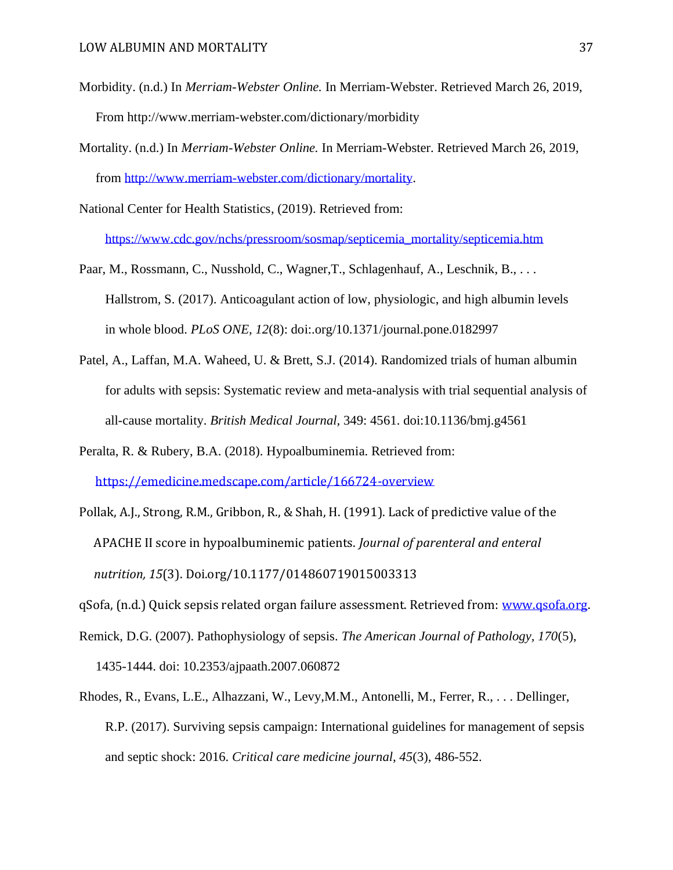- Morbidity. (n.d.) In *Merriam-Webster Online.* In Merriam-Webster. Retrieved March 26, 2019, From http://www.merriam-webster.com/dictionary/morbidity
- Mortality. (n.d.) In *Merriam-Webster Online.* In Merriam-Webster. Retrieved March 26, 2019, from [http://www.merriam-webster.com/dictionary/mortality.](http://www.merriam-webster.com/dictionary/mortality)
- National Center for Health Statistics, (2019). Retrieved from: [https://www.cdc.gov/nchs/pressroom/sosmap/septicemia\\_mortality/septicemia.htm](https://www.cdc.gov/nchs/pressroom/sosmap/septicemia_mortality/septicemia.htm)
- Paar, M., Rossmann, C., Nusshold, C., Wagner,T., Schlagenhauf, A., Leschnik, B., . . . Hallstrom, S. (2017). Anticoagulant action of low, physiologic, and high albumin levels in whole blood. *PLoS ONE, 12*(8): doi:.org/10.1371/journal.pone.0182997
- Patel, A., Laffan, M.A. Waheed, U. & Brett, S.J. (2014). Randomized trials of human albumin for adults with sepsis: Systematic review and meta-analysis with trial sequential analysis of all-cause mortality. *British Medical Journal,* 349: 4561. doi:10.1136/bmj.g4561
- Peralta, R. & Rubery, B.A. (2018). Hypoalbuminemia. Retrieved from: <https://emedicine.medscape.com/article/166724-overview>
- Pollak, A.J., Strong, R.M., Gribbon, R., & Shah, H. (1991). Lack of predictive value of the APACHE II score in hypoalbuminemic patients. *Journal of parenteral and enteral nutrition, 15*(3). Doi.org/10.1177/014860719015003313
- qSofa, (n.d.) Quick sepsis related organ failure assessment. Retrieved from: [www.qsofa.org.](http://www.qsofa.org/)
- Remick, D.G. (2007). Pathophysiology of sepsis. *The American Journal of Pathology, 170*(5), 1435-1444. doi: 10.2353/ajpaath.2007.060872
- Rhodes, R., Evans, L.E., Alhazzani, W., Levy,M.M., Antonelli, M., Ferrer, R., . . . Dellinger, R.P. (2017). Surviving sepsis campaign: International guidelines for management of sepsis and septic shock: 2016. *Critical care medicine journal, 45*(3), 486-552.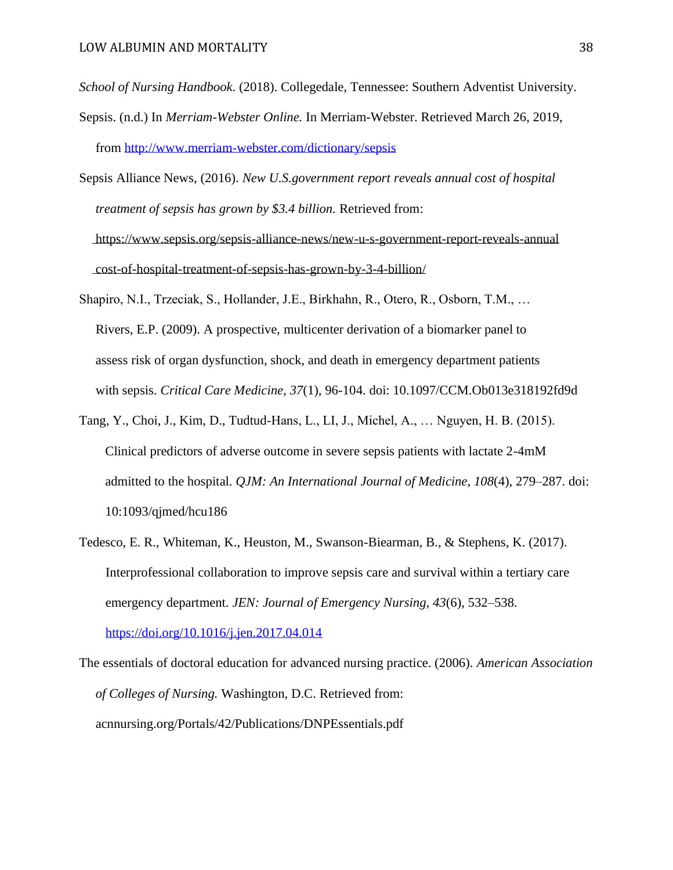*School of Nursing Handbook*. (2018). Collegedale, Tennessee: Southern Adventist University.

- Sepsis. (n.d.) In *Merriam-Webster Online.* In Merriam-Webster. Retrieved March 26, 2019, from<http://www.merriam-webster.com/dictionary/sepsis>
- Sepsis Alliance News, (2016). *New U.S.government report reveals annual cost of hospital treatment of sepsis has grown by \$3.4 billion.* Retrieved from: <https://www.sepsis.org/sepsis-alliance-news/new-u-s-government-report-reveals-annual> cost-of-hospital-treatment-of-sepsis-has-grown-by-3-4-billion/
- Shapiro, N.I., Trzeciak, S., Hollander, J.E., Birkhahn, R., Otero, R., Osborn, T.M., … Rivers, E.P. (2009). A prospective, multicenter derivation of a biomarker panel to assess risk of organ dysfunction, shock, and death in emergency department patients with sepsis. *Critical Care Medicine, 37*(1), 96-104. doi: 10.1097/CCM.Ob013e318192fd9d
- Tang, Y., Choi, J., Kim, D., Tudtud-Hans, L., LI, J., Michel, A., … Nguyen, H. B. (2015). Clinical predictors of adverse outcome in severe sepsis patients with lactate 2-4mM admitted to the hospital. *QJM: An International Journal of Medicine*, *108*(4), 279–287. doi: 10:1093/qjmed/hcu186
- Tedesco, E. R., Whiteman, K., Heuston, M., Swanson-Biearman, B., & Stephens, K. (2017). Interprofessional collaboration to improve sepsis care and survival within a tertiary care emergency department. *JEN: Journal of Emergency Nursing*, *43*(6), 532–538. <https://doi.org/10.1016/j.jen.2017.04.014>

The essentials of doctoral education for advanced nursing practice. (2006). *American Association of Colleges of Nursing.* Washington, D.C. Retrieved from: acnnursing.org/Portals/42/Publications/DNPEssentials.pdf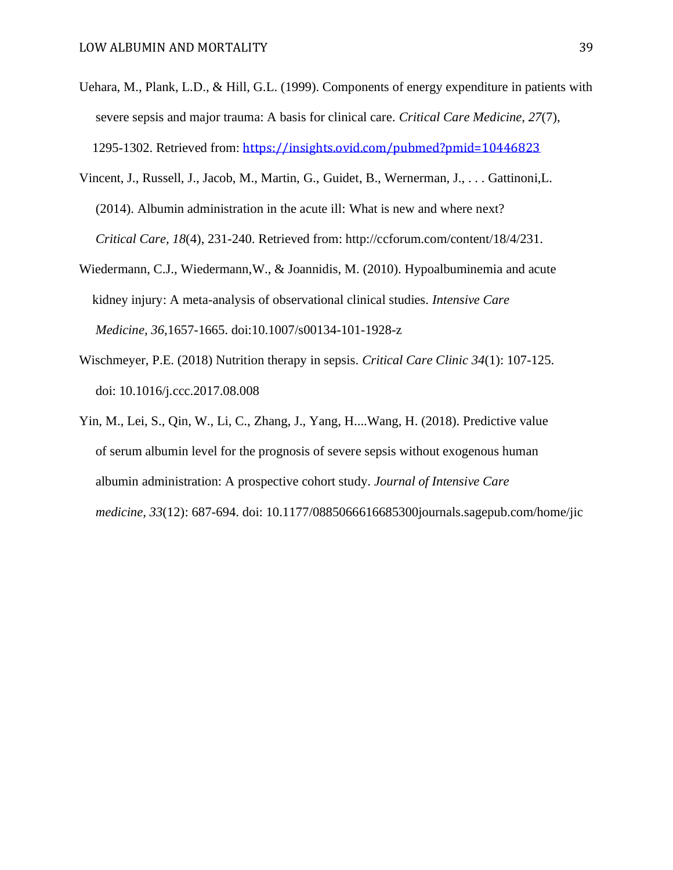- Uehara, M., Plank, L.D., & Hill, G.L. (1999). Components of energy expenditure in patients with severe sepsis and major trauma: A basis for clinical care. *Critical Care Medicine, 27*(7), 1295-1302. Retrieved from: <https://insights.ovid.com/pubmed?pmid=10446823>
- Vincent, J., Russell, J., Jacob, M., Martin, G., Guidet, B., Wernerman, J., . . . Gattinoni,L. (2014). Albumin administration in the acute ill: What is new and where next? *Critical Care, 18*(4), 231-240. Retrieved from: http://ccforum.com/content/18/4/231.
- Wiedermann, C.J., Wiedermann,W., & Joannidis, M. (2010). Hypoalbuminemia and acute kidney injury: A meta-analysis of observational clinical studies. *Intensive Care Medicine, 36,*1657-1665. doi:10.1007/s00134-101-1928-z
- Wischmeyer, P.E. (2018) Nutrition therapy in sepsis. *Critical Care Clinic 34*(1): 107-125. doi: 10.1016/j.ccc.2017.08.008
- Yin, M., Lei, S., Qin, W., Li, C., Zhang, J., Yang, H....Wang, H. (2018). Predictive value of serum albumin level for the prognosis of severe sepsis without exogenous human albumin administration: A prospective cohort study. *Journal of Intensive Care medicine, 33*(12): 687-694. doi: 10.1177/0885066616685300journals.sagepub.com/home/jic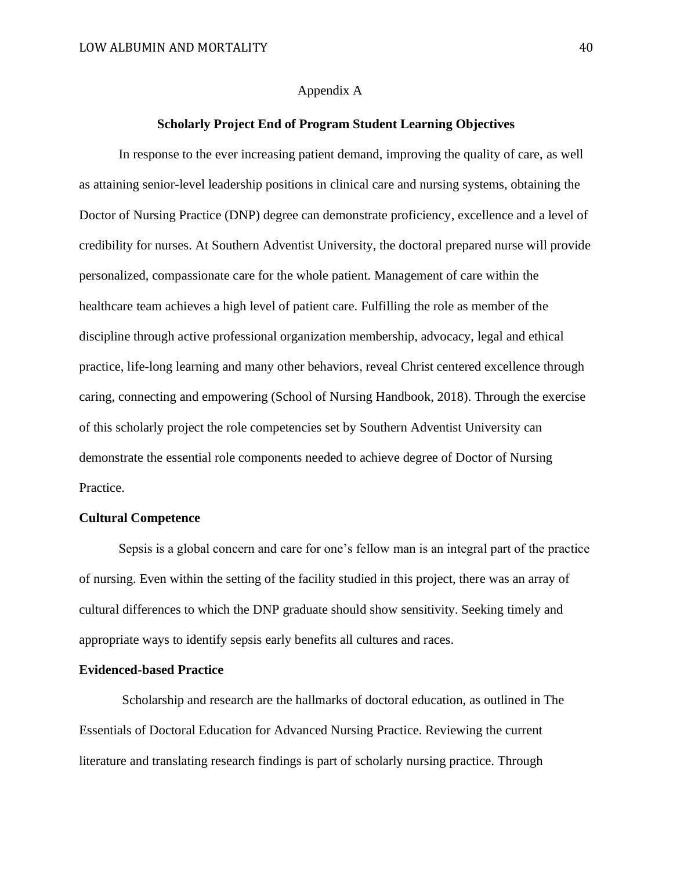## Appendix A

## **Scholarly Project End of Program Student Learning Objectives**

In response to the ever increasing patient demand, improving the quality of care, as well as attaining senior-level leadership positions in clinical care and nursing systems, obtaining the Doctor of Nursing Practice (DNP) degree can demonstrate proficiency, excellence and a level of credibility for nurses. At Southern Adventist University, the doctoral prepared nurse will provide personalized, compassionate care for the whole patient. Management of care within the healthcare team achieves a high level of patient care. Fulfilling the role as member of the discipline through active professional organization membership, advocacy, legal and ethical practice, life-long learning and many other behaviors, reveal Christ centered excellence through caring, connecting and empowering (School of Nursing Handbook, 2018). Through the exercise of this scholarly project the role competencies set by Southern Adventist University can demonstrate the essential role components needed to achieve degree of Doctor of Nursing Practice.

### **Cultural Competence**

 Sepsis is a global concern and care for one's fellow man is an integral part of the practice of nursing. Even within the setting of the facility studied in this project, there was an array of cultural differences to which the DNP graduate should show sensitivity. Seeking timely and appropriate ways to identify sepsis early benefits all cultures and races.

## **Evidenced-based Practice**

Scholarship and research are the hallmarks of doctoral education, as outlined in The Essentials of Doctoral Education for Advanced Nursing Practice. Reviewing the current literature and translating research findings is part of scholarly nursing practice. Through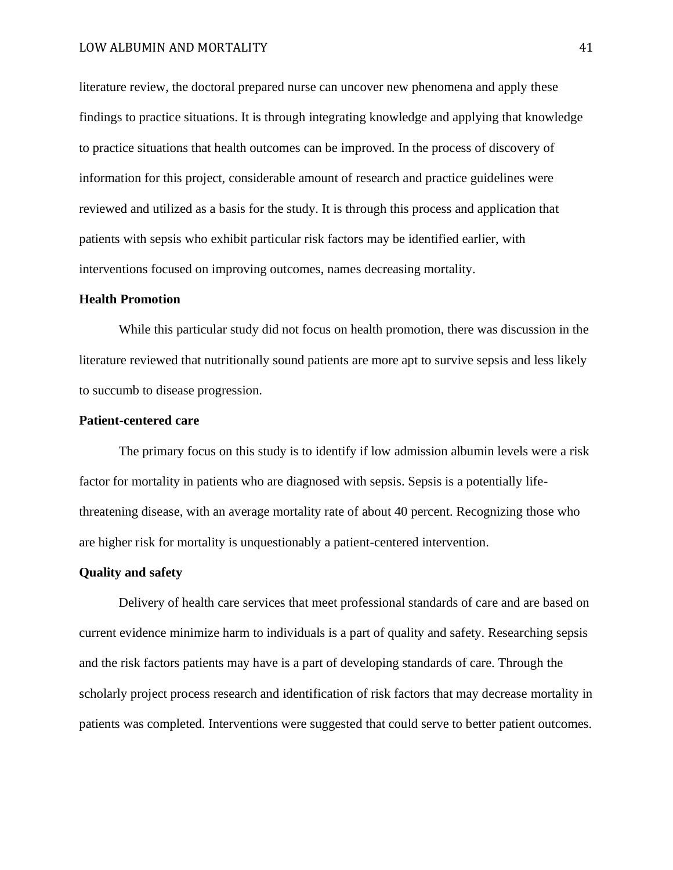literature review, the doctoral prepared nurse can uncover new phenomena and apply these findings to practice situations. It is through integrating knowledge and applying that knowledge to practice situations that health outcomes can be improved. In the process of discovery of information for this project, considerable amount of research and practice guidelines were reviewed and utilized as a basis for the study. It is through this process and application that patients with sepsis who exhibit particular risk factors may be identified earlier, with interventions focused on improving outcomes, names decreasing mortality.

#### **Health Promotion**

While this particular study did not focus on health promotion, there was discussion in the literature reviewed that nutritionally sound patients are more apt to survive sepsis and less likely to succumb to disease progression.

## **Patient-centered care**

The primary focus on this study is to identify if low admission albumin levels were a risk factor for mortality in patients who are diagnosed with sepsis. Sepsis is a potentially lifethreatening disease, with an average mortality rate of about 40 percent. Recognizing those who are higher risk for mortality is unquestionably a patient-centered intervention.

## **Quality and safety**

Delivery of health care services that meet professional standards of care and are based on current evidence minimize harm to individuals is a part of quality and safety. Researching sepsis and the risk factors patients may have is a part of developing standards of care. Through the scholarly project process research and identification of risk factors that may decrease mortality in patients was completed. Interventions were suggested that could serve to better patient outcomes.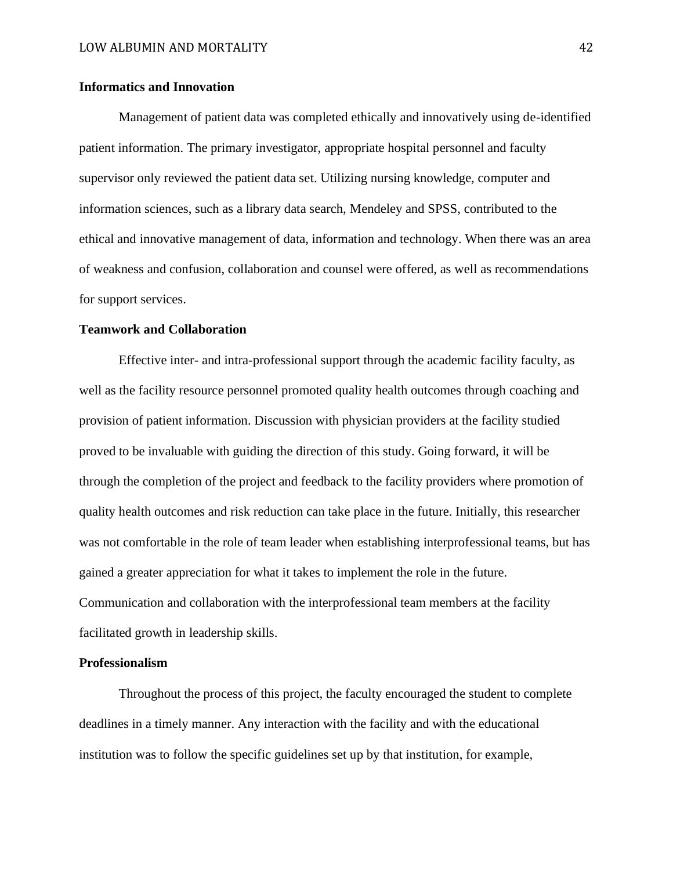## **Informatics and Innovation**

Management of patient data was completed ethically and innovatively using de-identified patient information. The primary investigator, appropriate hospital personnel and faculty supervisor only reviewed the patient data set. Utilizing nursing knowledge, computer and information sciences, such as a library data search, Mendeley and SPSS, contributed to the ethical and innovative management of data, information and technology. When there was an area of weakness and confusion, collaboration and counsel were offered, as well as recommendations for support services.

## **Teamwork and Collaboration**

Effective inter- and intra-professional support through the academic facility faculty, as well as the facility resource personnel promoted quality health outcomes through coaching and provision of patient information. Discussion with physician providers at the facility studied proved to be invaluable with guiding the direction of this study. Going forward, it will be through the completion of the project and feedback to the facility providers where promotion of quality health outcomes and risk reduction can take place in the future. Initially, this researcher was not comfortable in the role of team leader when establishing interprofessional teams, but has gained a greater appreciation for what it takes to implement the role in the future. Communication and collaboration with the interprofessional team members at the facility facilitated growth in leadership skills.

#### **Professionalism**

Throughout the process of this project, the faculty encouraged the student to complete deadlines in a timely manner. Any interaction with the facility and with the educational institution was to follow the specific guidelines set up by that institution, for example,